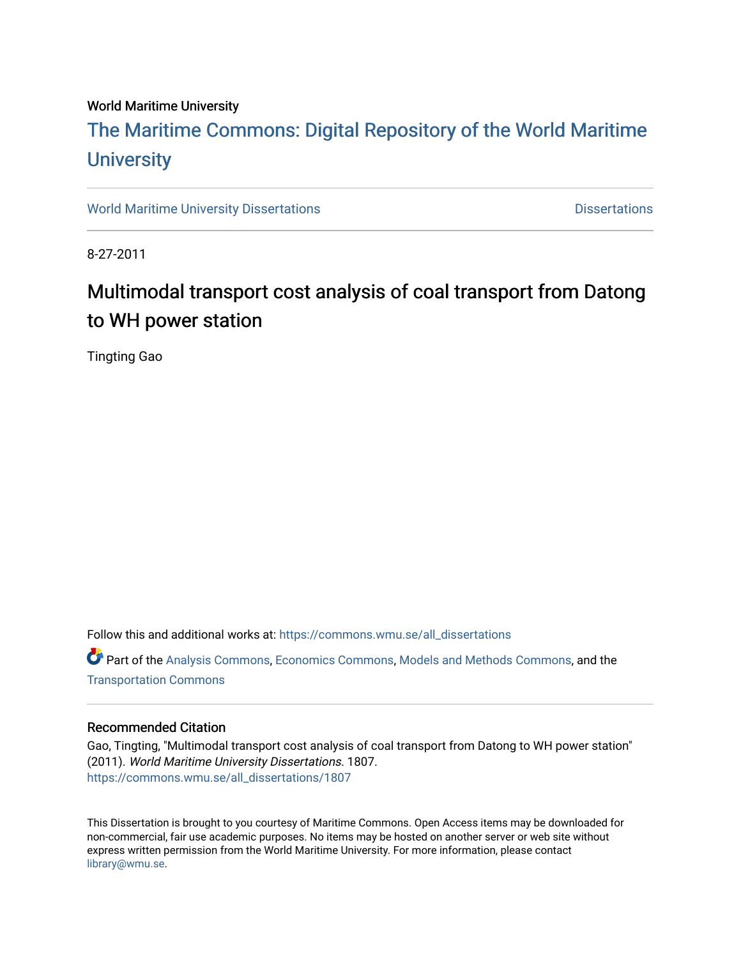#### World Maritime University

# [The Maritime Commons: Digital Repository of the World Maritime](https://commons.wmu.se/)  **University**

[World Maritime University Dissertations](https://commons.wmu.se/all_dissertations) **Distributions** [Dissertations](https://commons.wmu.se/dissertations) Dissertations

8-27-2011

# Multimodal transport cost analysis of coal transport from Datong to WH power station

Tingting Gao

Follow this and additional works at: [https://commons.wmu.se/all\\_dissertations](https://commons.wmu.se/all_dissertations?utm_source=commons.wmu.se%2Fall_dissertations%2F1807&utm_medium=PDF&utm_campaign=PDFCoverPages) 

Part of the [Analysis Commons](http://network.bepress.com/hgg/discipline/177?utm_source=commons.wmu.se%2Fall_dissertations%2F1807&utm_medium=PDF&utm_campaign=PDFCoverPages), [Economics Commons,](http://network.bepress.com/hgg/discipline/340?utm_source=commons.wmu.se%2Fall_dissertations%2F1807&utm_medium=PDF&utm_campaign=PDFCoverPages) [Models and Methods Commons](http://network.bepress.com/hgg/discipline/390?utm_source=commons.wmu.se%2Fall_dissertations%2F1807&utm_medium=PDF&utm_campaign=PDFCoverPages), and the [Transportation Commons](http://network.bepress.com/hgg/discipline/1068?utm_source=commons.wmu.se%2Fall_dissertations%2F1807&utm_medium=PDF&utm_campaign=PDFCoverPages) 

#### Recommended Citation

Gao, Tingting, "Multimodal transport cost analysis of coal transport from Datong to WH power station" (2011). World Maritime University Dissertations. 1807. [https://commons.wmu.se/all\\_dissertations/1807](https://commons.wmu.se/all_dissertations/1807?utm_source=commons.wmu.se%2Fall_dissertations%2F1807&utm_medium=PDF&utm_campaign=PDFCoverPages)

This Dissertation is brought to you courtesy of Maritime Commons. Open Access items may be downloaded for non-commercial, fair use academic purposes. No items may be hosted on another server or web site without express written permission from the World Maritime University. For more information, please contact [library@wmu.se](mailto:library@wmu.edu).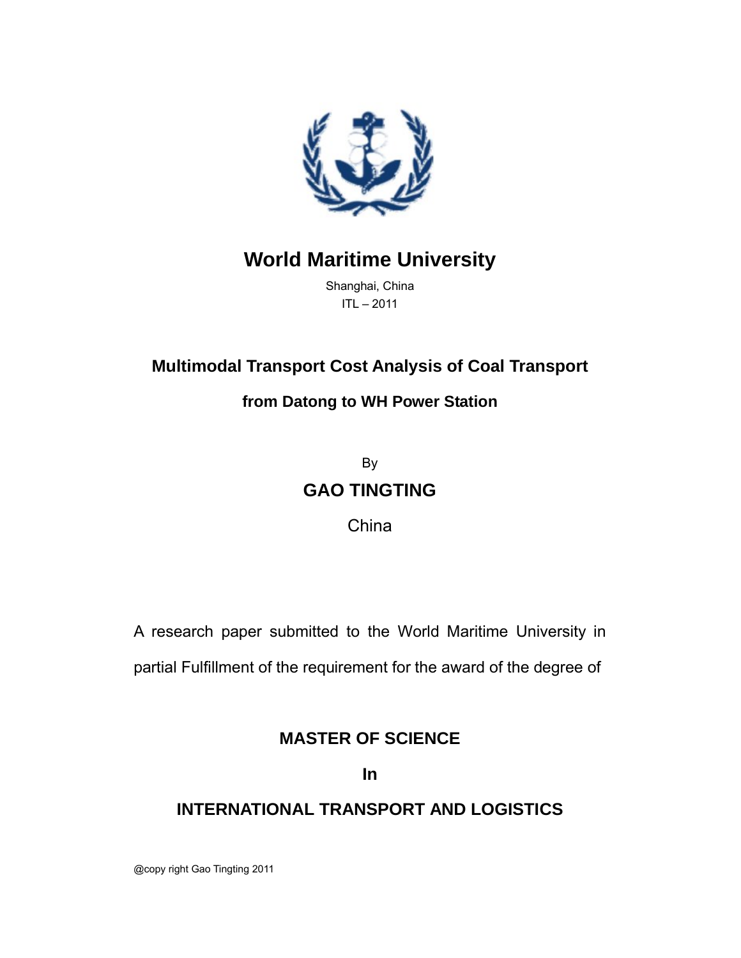

# **World Maritime University**

Shanghai, China ITL – 2011

## **Multimodal Transport Cost Analysis of Coal Transport**

## **from Datong to WH Power Station**

By **GAO TINGTING**

China

A research paper submitted to the World Maritime University in

partial Fulfillment of the requirement for the award of the degree of

## **MASTER OF SCIENCE**

**In**

## **INTERNATIONAL TRANSPORT AND LOGISTICS**

@copy right Gao Tingting 2011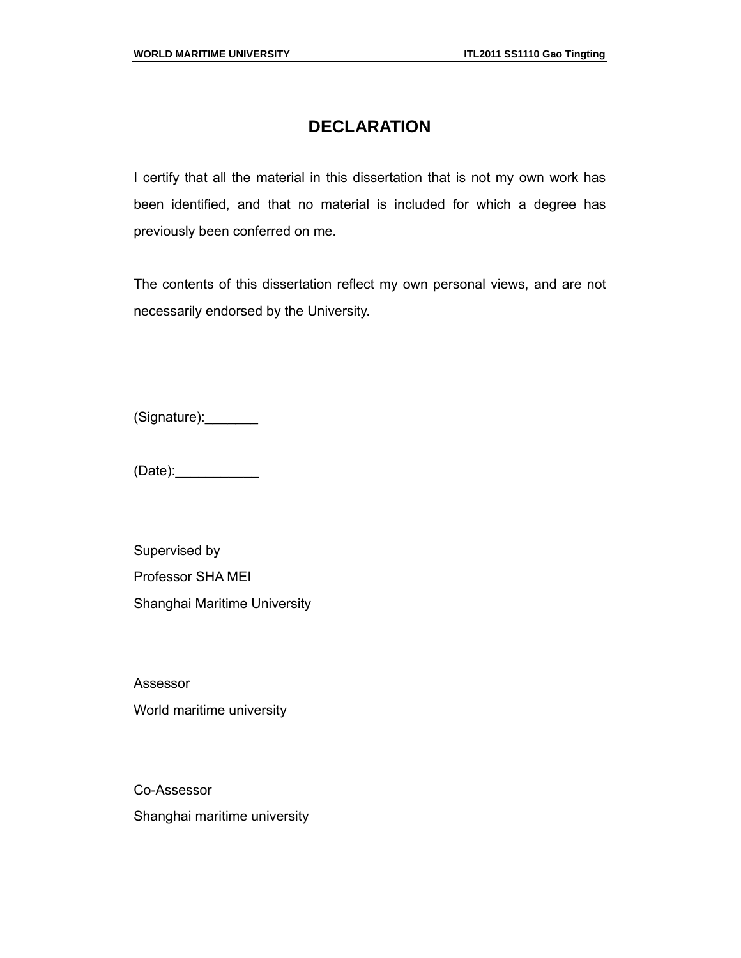## **DECLARATION**

I certify that all the material in this dissertation that is not my own work has been identified, and that no material is included for which a degree has previously been conferred on me.

The contents of this dissertation reflect my own personal views, and are not necessarily endorsed by the University.

(Signature):\_\_\_\_\_\_\_

(Date):\_\_\_\_\_\_\_\_\_\_\_

Supervised by Professor SHA MEI Shanghai Maritime University

Assessor World maritime university

Co-Assessor Shanghai maritime university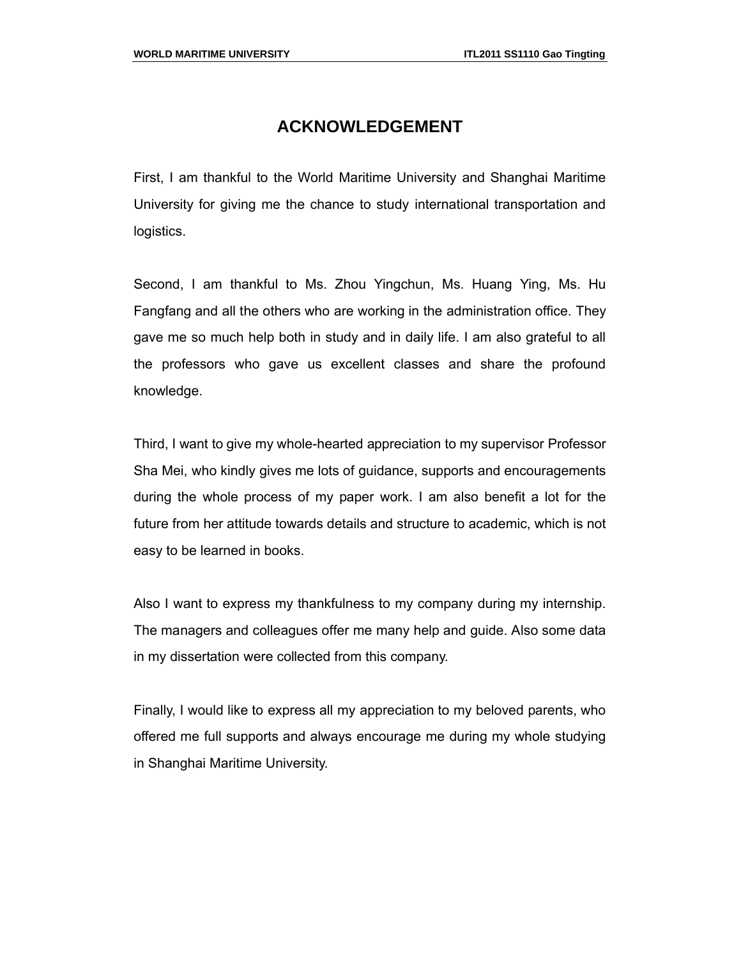### **ACKNOWLEDGEMENT**

First, I am thankful to the World Maritime University and Shanghai Maritime University for giving me the chance to study international transportation and logistics.

Second, I am thankful to Ms. Zhou Yingchun, Ms. Huang Ying, Ms. Hu Fangfang and all the others who are working in the administration office. They gave me so much help both in study and in daily life. I am also grateful to all the professors who gave us excellent classes and share the profound knowledge.

Third, I want to give my whole-hearted appreciation to my supervisor Professor Sha Mei, who kindly gives me lots of guidance, supports and encouragements during the whole process of my paper work. I am also benefit a lot for the future from her attitude towards details and structure to academic, which is not easy to be learned in books.

Also I want to express my thankfulness to my company during my internship. The managers and colleagues offer me many help and guide. Also some data in my dissertation were collected from this company.

Finally, I would like to express all my appreciation to my beloved parents, who offered me full supports and always encourage me during my whole studying in Shanghai Maritime University.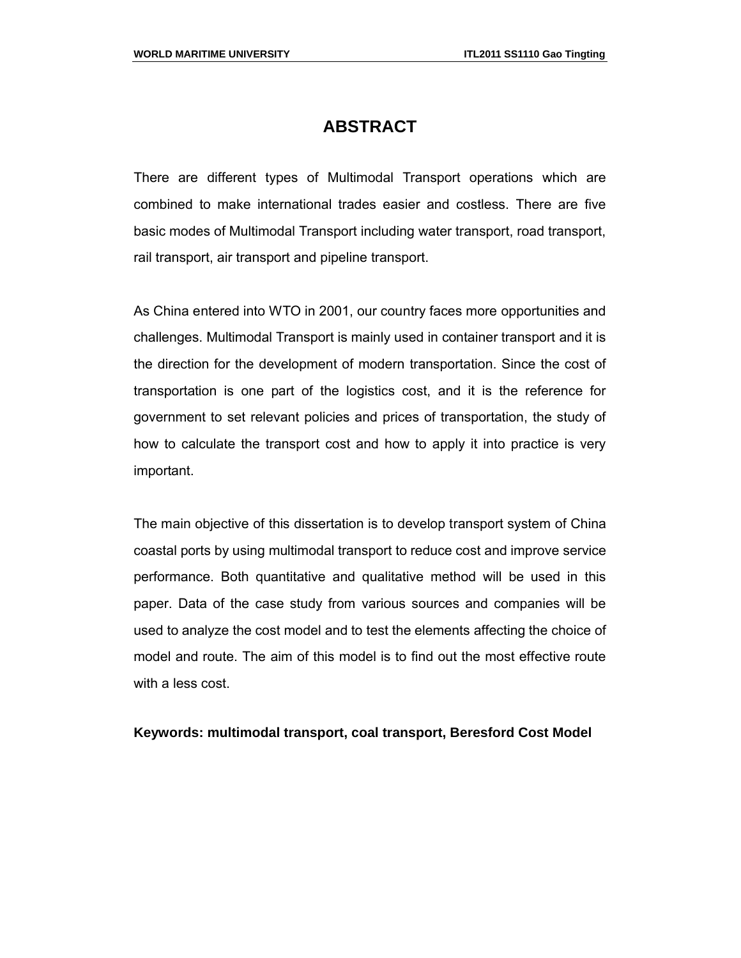### **ABSTRACT**

There are different types of Multimodal Transport operations which are combined to make international trades easier and costless. There are five basic modes of Multimodal Transport including water transport, road transport, rail transport, air transport and pipeline transport.

As China entered into WTO in 2001, our country faces more opportunities and challenges. Multimodal Transport is mainly used in container transport and it is the direction for the development of modern transportation. Since the cost of transportation is one part of the logistics cost, and it is the reference for government to set relevant policies and prices of transportation, the study of how to calculate the transport cost and how to apply it into practice is very important.

The main objective of this dissertation is to develop transport system of China coastal ports by using multimodal transport to reduce cost and improve service performance. Both quantitative and qualitative method will be used in this paper. Data of the case study from various sources and companies will be used to analyze the cost model and to test the elements affecting the choice of model and route. The aim of this model is to find out the most effective route with a less cost.

#### **Keywords: multimodal transport, coal transport, Beresford Cost Model**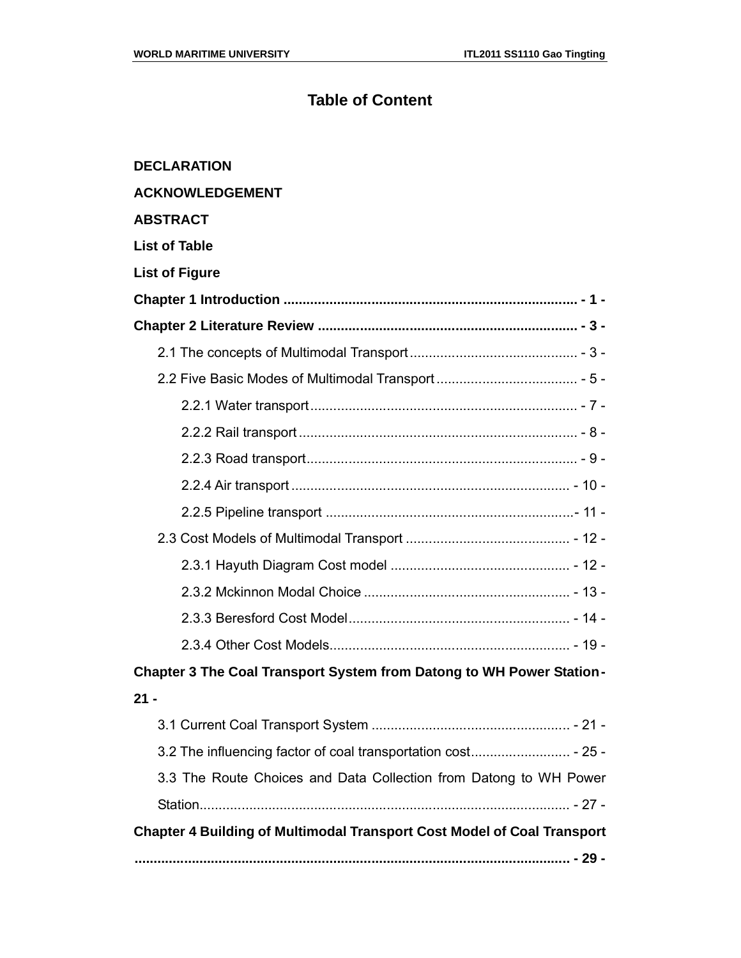## **Table of Content**

| <b>DECLARATION</b>                                                             |  |
|--------------------------------------------------------------------------------|--|
| <b>ACKNOWLEDGEMENT</b>                                                         |  |
| <b>ABSTRACT</b>                                                                |  |
| <b>List of Table</b>                                                           |  |
| <b>List of Figure</b>                                                          |  |
|                                                                                |  |
|                                                                                |  |
|                                                                                |  |
|                                                                                |  |
|                                                                                |  |
|                                                                                |  |
|                                                                                |  |
|                                                                                |  |
|                                                                                |  |
|                                                                                |  |
|                                                                                |  |
|                                                                                |  |
|                                                                                |  |
|                                                                                |  |
| Chapter 3 The Coal Transport System from Datong to WH Power Station-           |  |
| 21 -                                                                           |  |
|                                                                                |  |
| 3.2 The influencing factor of coal transportation cost - 25 -                  |  |
| 3.3 The Route Choices and Data Collection from Datong to WH Power              |  |
|                                                                                |  |
| <b>Chapter 4 Building of Multimodal Transport Cost Model of Coal Transport</b> |  |
|                                                                                |  |
|                                                                                |  |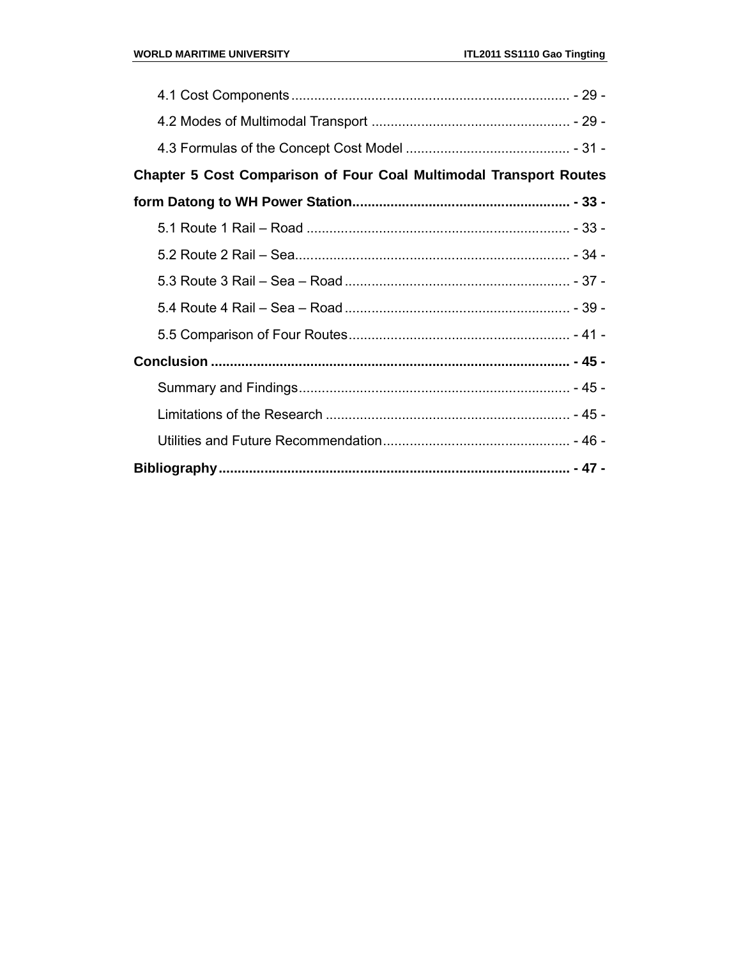| <b>Chapter 5 Cost Comparison of Four Coal Multimodal Transport Routes</b> |  |
|---------------------------------------------------------------------------|--|
|                                                                           |  |
|                                                                           |  |
|                                                                           |  |
|                                                                           |  |
|                                                                           |  |
|                                                                           |  |
|                                                                           |  |
|                                                                           |  |
|                                                                           |  |
|                                                                           |  |
|                                                                           |  |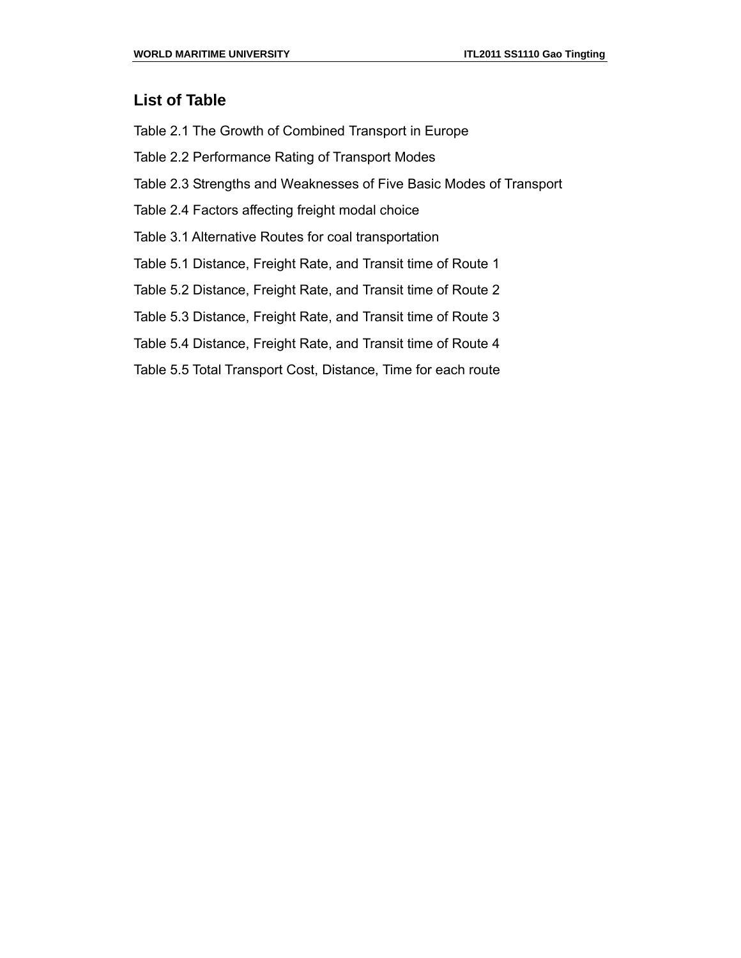### **List of Table**

Table 2.1 The Growth of Combined Transport in Europe

Table 2.2 Performance Rating of Transport Modes

- Table 2.3 Strengths and Weaknesses of Five Basic Modes of Transport
- Table 2.4 Factors affecting freight modal choice

Table 3.1 Alternative Routes for coal transportation

Table 5.1 Distance, Freight Rate, and Transit time of Route 1

Table 5.2 Distance, Freight Rate, and Transit time of Route 2

Table 5.3 Distance, Freight Rate, and Transit time of Route 3

Table 5.4 Distance, Freight Rate, and Transit time of Route 4

Table 5.5 Total Transport Cost, Distance, Time for each route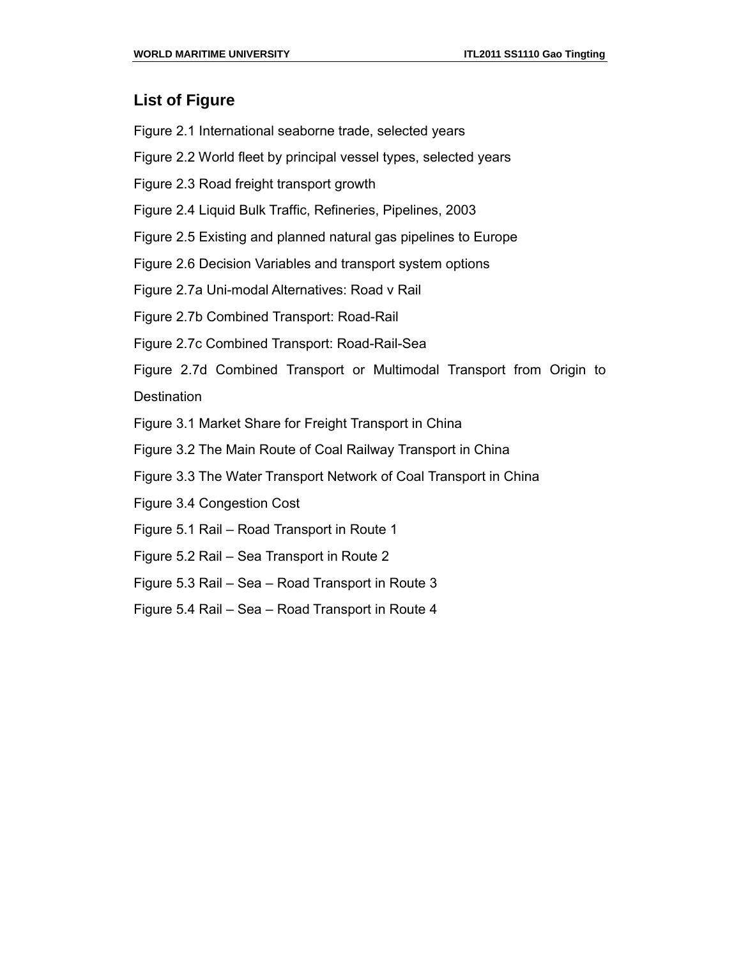### **List of Figure**

- Figure 2.1 International seaborne trade, selected years
- Figure 2.2 World fleet by principal vessel types, selected years
- Figure 2.3 Road freight transport growth
- Figure 2.4 Liquid Bulk Traffic, Refineries, Pipelines, 2003
- Figure 2.5 Existing and planned natural gas pipelines to Europe
- Figure 2.6 Decision Variables and transport system options
- Figure 2.7a Uni-modal Alternatives: Road v Rail
- Figure 2.7b Combined Transport: Road-Rail
- Figure 2.7c Combined Transport: Road-Rail-Sea
- Figure 2.7d Combined Transport or Multimodal Transport from Origin to **Destination**
- Figure 3.1 Market Share for Freight Transport in China
- Figure 3.2 The Main Route of Coal Railway Transport in China
- Figure 3.3 The Water Transport Network of Coal Transport in China
- Figure 3.4 Congestion Cost
- Figure 5.1 Rail Road Transport in Route 1
- Figure 5.2 Rail Sea Transport in Route 2
- Figure 5.3 Rail Sea Road Transport in Route 3
- Figure 5.4 Rail Sea Road Transport in Route 4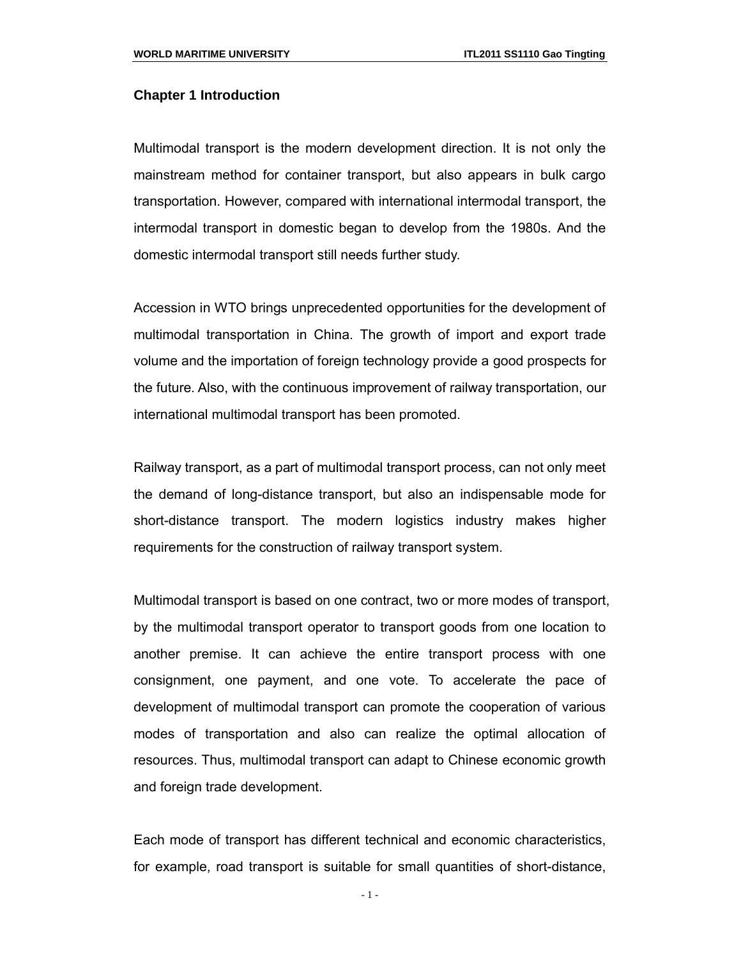#### **Chapter 1 Introduction**

Multimodal transport is the modern development direction. It is not only the mainstream method for container transport, but also appears in bulk cargo transportation. However, compared with international intermodal transport, the intermodal transport in domestic began to develop from the 1980s. And the domestic intermodal transport still needs further study.

Accession in WTO brings unprecedented opportunities for the development of multimodal transportation in China. The growth of import and export trade volume and the importation of foreign technology provide a good prospects for the future. Also, with the continuous improvement of railway transportation, our international multimodal transport has been promoted.

Railway transport, as a part of multimodal transport process, can not only meet the demand of long-distance transport, but also an indispensable mode for short-distance transport. The modern logistics industry makes higher requirements for the construction of railway transport system.

Multimodal transport is based on one contract, two or more modes of transport, by the multimodal transport operator to transport goods from one location to another premise. It can achieve the entire transport process with one consignment, one payment, and one vote. To accelerate the pace of development of multimodal transport can promote the cooperation of various modes of transportation and also can realize the optimal allocation of resources. Thus, multimodal transport can adapt to Chinese economic growth and foreign trade development.

Each mode of transport has different technical and economic characteristics, for example, road transport is suitable for small quantities of short-distance,

- 1 -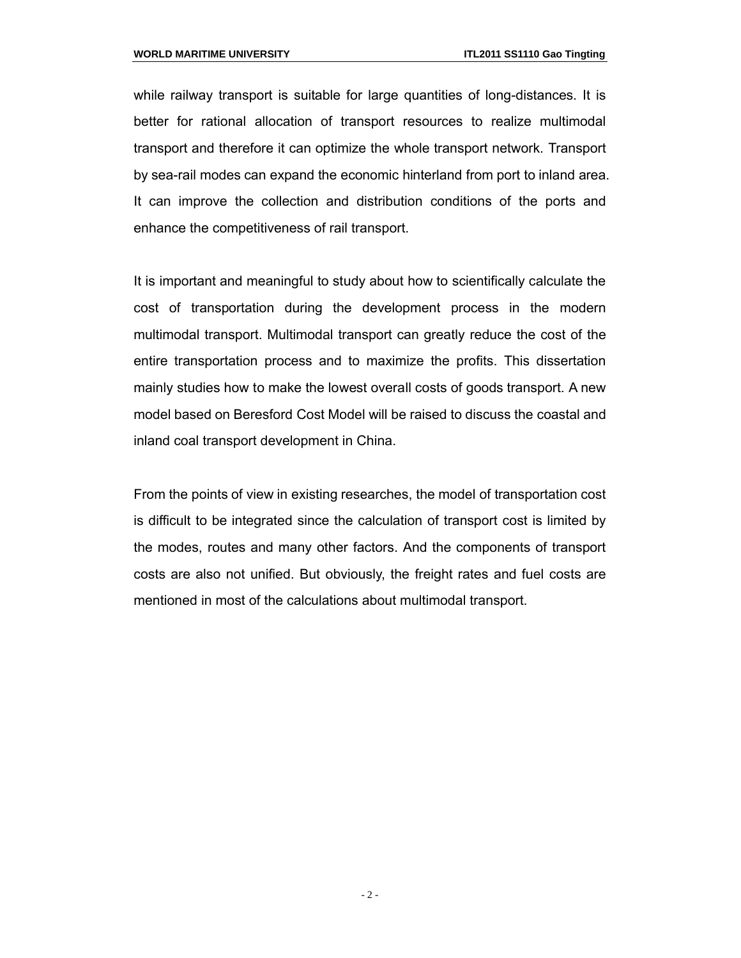while railway transport is suitable for large quantities of long-distances. It is better for rational allocation of transport resources to realize multimodal transport and therefore it can optimize the whole transport network. Transport by sea-rail modes can expand the economic hinterland from port to inland area. It can improve the collection and distribution conditions of the ports and enhance the competitiveness of rail transport.

It is important and meaningful to study about how to scientifically calculate the cost of transportation during the development process in the modern multimodal transport. Multimodal transport can greatly reduce the cost of the entire transportation process and to maximize the profits. This dissertation mainly studies how to make the lowest overall costs of goods transport. A new model based on Beresford Cost Model will be raised to discuss the coastal and inland coal transport development in China.

From the points of view in existing researches, the model of transportation cost is difficult to be integrated since the calculation of transport cost is limited by the modes, routes and many other factors. And the components of transport costs are also not unified. But obviously, the freight rates and fuel costs are mentioned in most of the calculations about multimodal transport.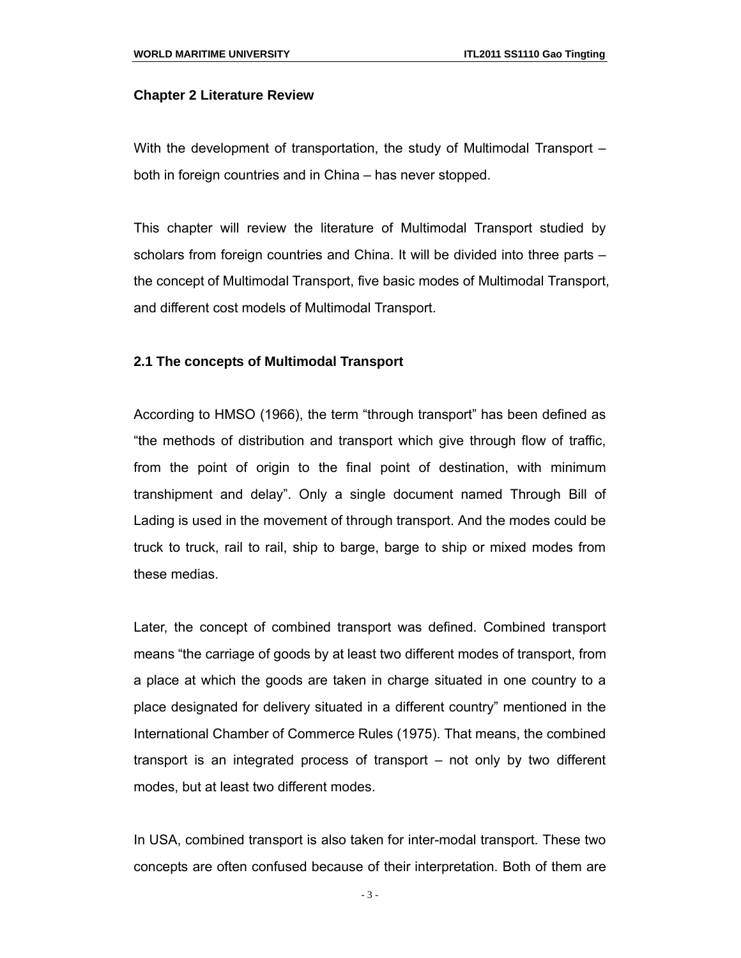#### **Chapter 2 Literature Review**

With the development of transportation, the study of Multimodal Transport – both in foreign countries and in China – has never stopped.

This chapter will review the literature of Multimodal Transport studied by scholars from foreign countries and China. It will be divided into three parts – the concept of Multimodal Transport, five basic modes of Multimodal Transport, and different cost models of Multimodal Transport.

#### **2.1 The concepts of Multimodal Transport**

According to HMSO (1966), the term "through transport" has been defined as "the methods of distribution and transport which give through flow of traffic, from the point of origin to the final point of destination, with minimum transhipment and delay". Only a single document named Through Bill of Lading is used in the movement of through transport. And the modes could be truck to truck, rail to rail, ship to barge, barge to ship or mixed modes from these medias.

Later, the concept of combined transport was defined. Combined transport means "the carriage of goods by at least two different modes of transport, from a place at which the goods are taken in charge situated in one country to a place designated for delivery situated in a different country" mentioned in the International Chamber of Commerce Rules (1975). That means, the combined transport is an integrated process of transport – not only by two different modes, but at least two different modes.

In USA, combined transport is also taken for inter-modal transport. These two concepts are often confused because of their interpretation. Both of them are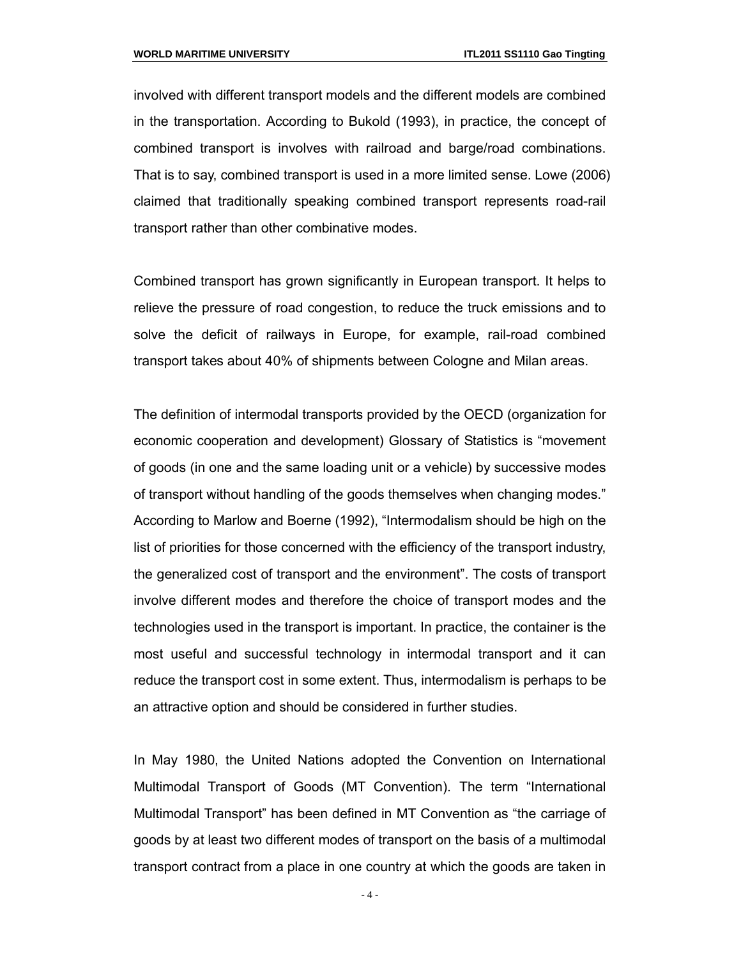involved with different transport models and the different models are combined in the transportation. According to Bukold (1993), in practice, the concept of combined transport is involves with railroad and barge/road combinations. That is to say, combined transport is used in a more limited sense. Lowe (2006) claimed that traditionally speaking combined transport represents road-rail transport rather than other combinative modes.

Combined transport has grown significantly in European transport. It helps to relieve the pressure of road congestion, to reduce the truck emissions and to solve the deficit of railways in Europe, for example, rail-road combined transport takes about 40% of shipments between Cologne and Milan areas.

The definition of intermodal transports provided by the OECD (organization for economic cooperation and development) Glossary of Statistics is "movement of goods (in one and the same loading unit or a vehicle) by successive modes of transport without handling of the goods themselves when changing modes." According to Marlow and Boerne (1992), "Intermodalism should be high on the list of priorities for those concerned with the efficiency of the transport industry, the generalized cost of transport and the environment". The costs of transport involve different modes and therefore the choice of transport modes and the technologies used in the transport is important. In practice, the container is the most useful and successful technology in intermodal transport and it can reduce the transport cost in some extent. Thus, intermodalism is perhaps to be an attractive option and should be considered in further studies.

In May 1980, the United Nations adopted the Convention on International Multimodal Transport of Goods (MT Convention). The term "International Multimodal Transport" has been defined in MT Convention as "the carriage of goods by at least two different modes of transport on the basis of a multimodal transport contract from a place in one country at which the goods are taken in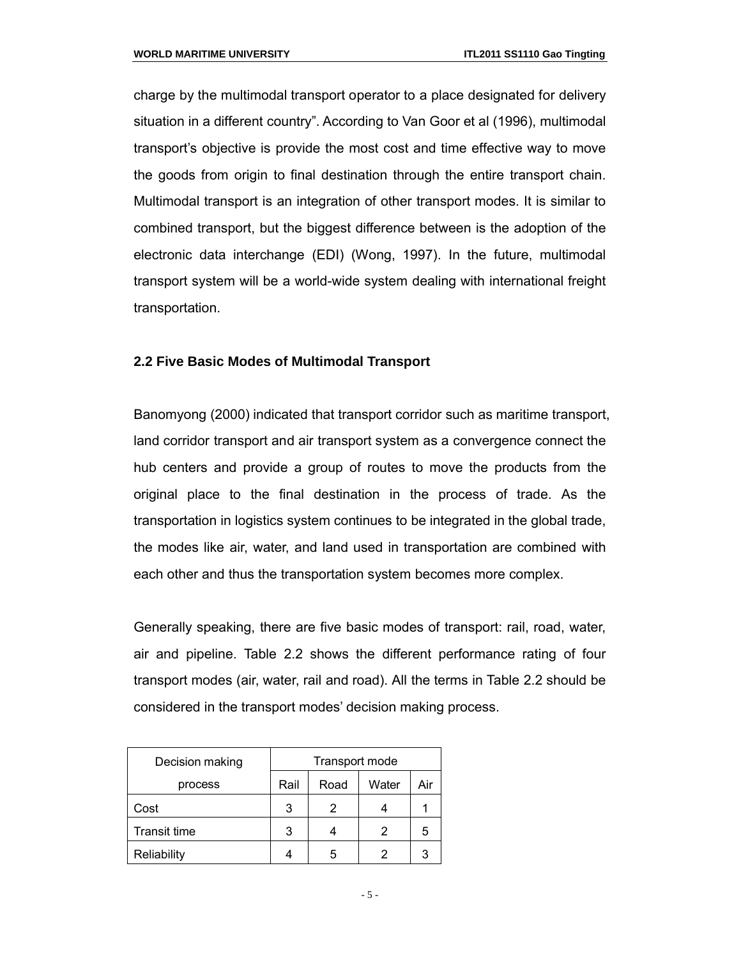charge by the multimodal transport operator to a place designated for delivery situation in a different country". According to Van Goor et al (1996), multimodal transport's objective is provide the most cost and time effective way to move the goods from origin to final destination through the entire transport chain. Multimodal transport is an integration of other transport modes. It is similar to combined transport, but the biggest difference between is the adoption of the electronic data interchange (EDI) (Wong, 1997). In the future, multimodal transport system will be a world-wide system dealing with international freight transportation.

#### **2.2 Five Basic Modes of Multimodal Transport**

Banomyong (2000) indicated that transport corridor such as maritime transport, land corridor transport and air transport system as a convergence connect the hub centers and provide a group of routes to move the products from the original place to the final destination in the process of trade. As the transportation in logistics system continues to be integrated in the global trade, the modes like air, water, and land used in transportation are combined with each other and thus the transportation system becomes more complex.

Generally speaking, there are five basic modes of transport: rail, road, water, air and pipeline. Table 2.2 shows the different performance rating of four transport modes (air, water, rail and road). All the terms in Table 2.2 should be considered in the transport modes' decision making process.

| Decision making | Transport mode |      |       |     |
|-----------------|----------------|------|-------|-----|
| process         | Rail           | Road | Water | Air |
| Cost            | 3              | 2    |       |     |
| Transit time    | 3              |      | 2     | ۰.  |
| Reliability     |                | 5    |       |     |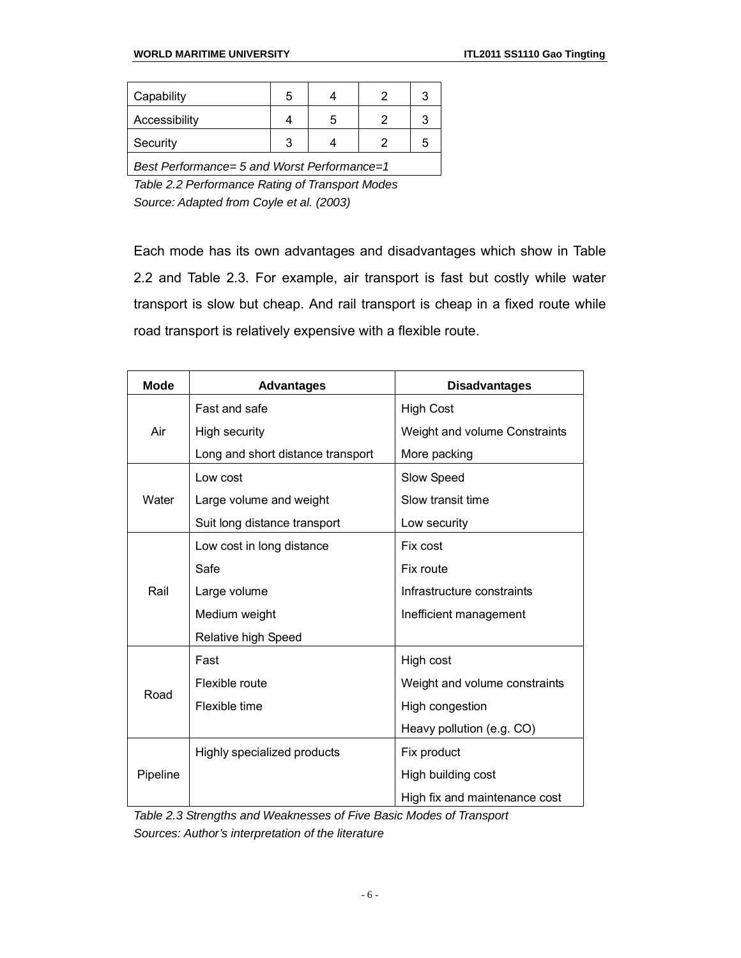*Best Performance= 5 and Worst Performance=1 Table 2.2 Performance Rating of Transport Modes*

*Source: Adapted from Coyle et al. (2003)*

Each mode has its own advantages and disadvantages which show in Table 2.2 and Table 2.3. For example, air transport is fast but costly while water transport is slow but cheap. And rail transport is cheap in a fixed route while road transport is relatively expensive with a flexible route.

| <b>Mode</b> | <b>Advantages</b>                 | <b>Disadvantages</b>          |
|-------------|-----------------------------------|-------------------------------|
|             | <b>Fast and safe</b>              | <b>High Cost</b>              |
| Air         | High security                     | Weight and volume Constraints |
|             | Long and short distance transport | More packing                  |
|             | Low cost                          | Slow Speed                    |
| Water       | Large volume and weight           | Slow transit time             |
|             | Suit long distance transport      | Low security                  |
|             | Low cost in long distance         | Fix cost                      |
| Rail        | Safe                              | Fix route                     |
|             | Large volume                      | Infrastructure constraints    |
|             | Medium weight                     | Inefficient management        |
|             | Relative high Speed               |                               |
|             | Fast                              | High cost                     |
| Road        | Flexible route                    | Weight and volume constraints |
|             | Flexible time                     | High congestion               |
|             |                                   | Heavy pollution (e.g. CO)     |
|             | Highly specialized products       | Fix product                   |
| Pipeline    |                                   | High building cost            |
|             |                                   | High fix and maintenance cost |

*Table 2.3 Strengths and Weaknesses of Five Basic Modes of Transport Sources: Author's interpretation of the literature*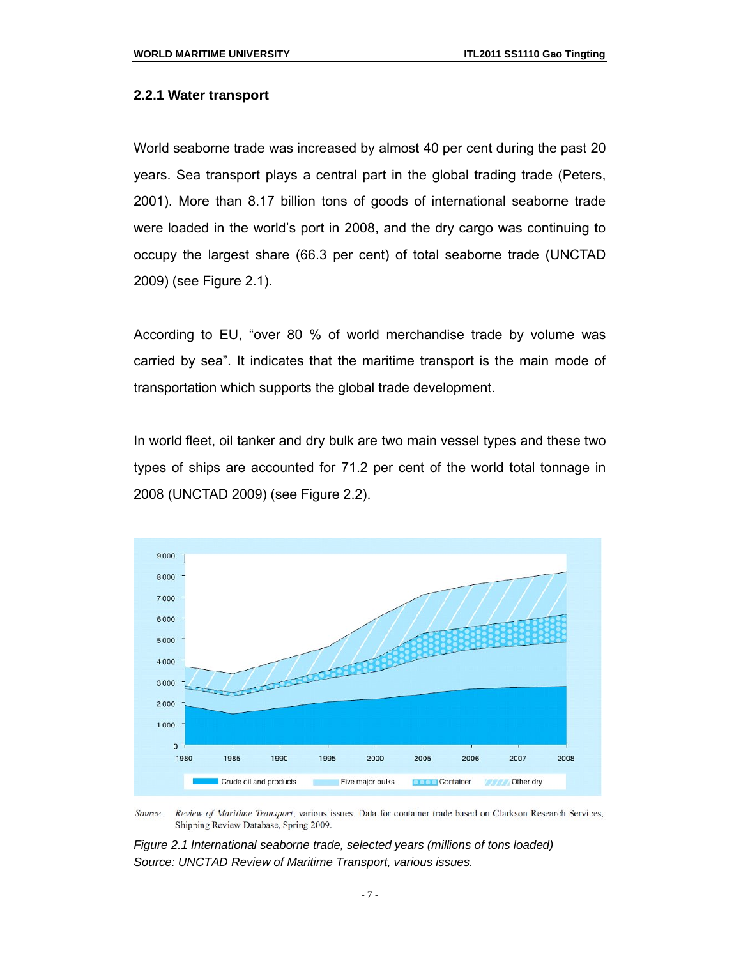#### **2.2.1 Water transport**

World seaborne trade was increased by almost 40 per cent during the past 20 years. Sea transport plays a central part in the global trading trade (Peters, 2001). More than 8.17 billion tons of goods of international seaborne trade were loaded in the world's port in 2008, and the dry cargo was continuing to occupy the largest share (66.3 per cent) of total seaborne trade (UNCTAD 2009) (see Figure 2.1).

According to EU, "over 80 % of world merchandise trade by volume was carried by sea". It indicates that the maritime transport is the main mode of transportation which supports the global trade development.

In world fleet, oil tanker and dry bulk are two main vessel types and these two types of ships are accounted for 71.2 per cent of the world total tonnage in 2008 (UNCTAD 2009) (see Figure 2.2).



Source: Review of Maritime Transport, various issues. Data for container trade based on Clarkson Research Services, Shipping Review Database, Spring 2009.

*Figure 2.1 International seaborne trade, selected years (millions of tons loaded) Source: UNCTAD Review of Maritime Transport, various issues.*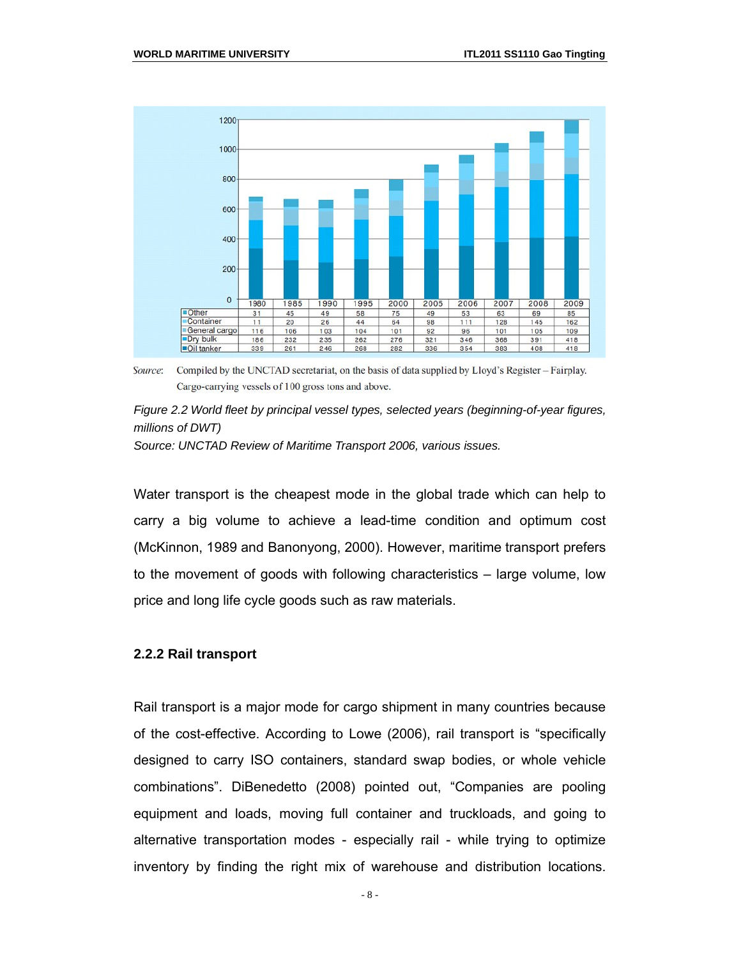

Source: Compiled by the UNCTAD secretariat, on the basis of data supplied by Lloyd's Register – Fairplay. Cargo-carrying vessels of 100 gross tons and above.

#### *Figure 2.2 World fleet by principal vessel types, selected years (beginning-of-year figures, millions of DWT)*

*Source: UNCTAD Review of Maritime Transport 2006, various issues.*

Water transport is the cheapest mode in the global trade which can help to carry a big volume to achieve a lead-time condition and optimum cost (McKinnon, 1989 and Banonyong, 2000). However, maritime transport prefers to the movement of goods with following characteristics – large volume, low price and long life cycle goods such as raw materials.

#### **2.2.2 Rail transport**

Rail transport is a major mode for cargo shipment in many countries because of the cost-effective. According to Lowe (2006), rail transport is "specifically designed to carry ISO containers, standard swap bodies, or whole vehicle combinations". DiBenedetto (2008) pointed out, "Companies are pooling equipment and loads, moving full container and truckloads, and going to alternative transportation modes - especially rail - while trying to optimize inventory by finding the right mix of warehouse and distribution locations.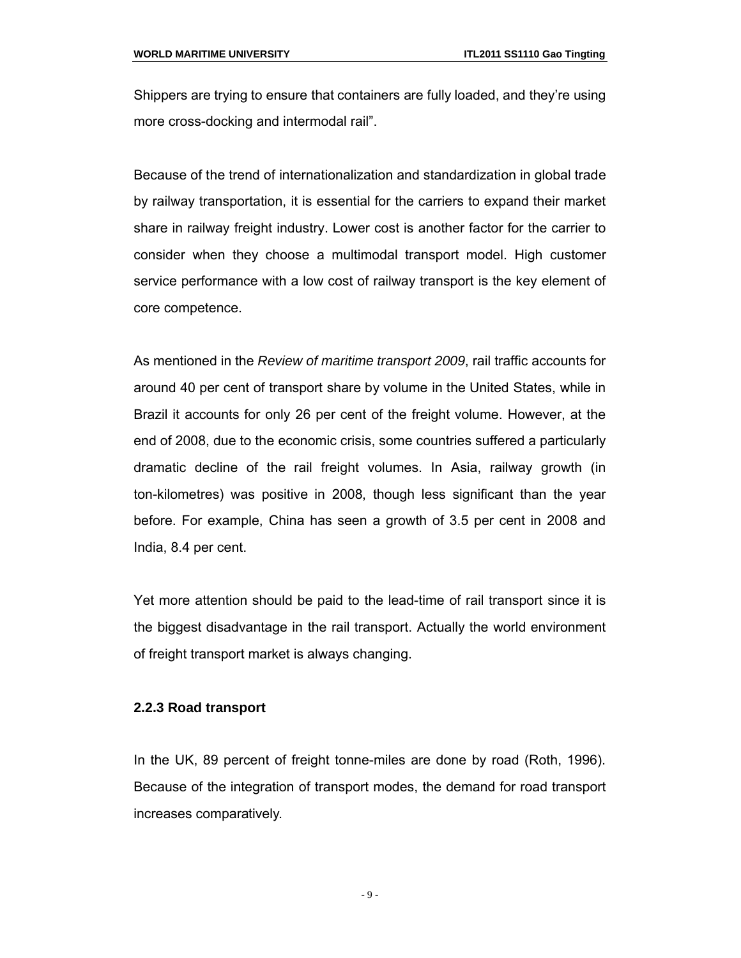Shippers are trying to ensure that containers are fully loaded, and they're using more cross-docking and intermodal rail".

Because of the trend of internationalization and standardization in global trade by railway transportation, it is essential for the carriers to expand their market share in railway freight industry. Lower cost is another factor for the carrier to consider when they choose a multimodal transport model. High customer service performance with a low cost of railway transport is the key element of core competence.

As mentioned in the *Review of maritime transport 2009*, rail traffic accounts for around 40 per cent of transport share by volume in the United States, while in Brazil it accounts for only 26 per cent of the freight volume. However, at the end of 2008, due to the economic crisis, some countries suffered a particularly dramatic decline of the rail freight volumes. In Asia, railway growth (in ton-kilometres) was positive in 2008, though less significant than the year before. For example, China has seen a growth of 3.5 per cent in 2008 and India, 8.4 per cent.

Yet more attention should be paid to the lead-time of rail transport since it is the biggest disadvantage in the rail transport. Actually the world environment of freight transport market is always changing.

#### **2.2.3 Road transport**

In the UK, 89 percent of freight tonne-miles are done by road (Roth, 1996). Because of the integration of transport modes, the demand for road transport increases comparatively.

- 9 -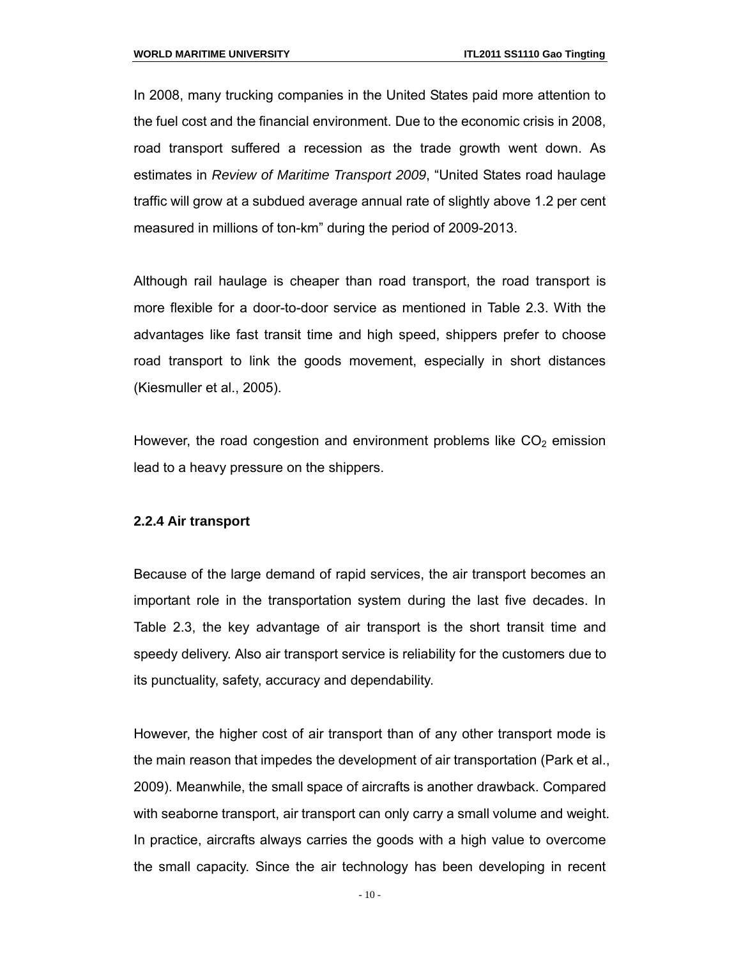In 2008, many trucking companies in the United States paid more attention to the fuel cost and the financial environment. Due to the economic crisis in 2008, road transport suffered a recession as the trade growth went down. As estimates in *Review of Maritime Transport 2009*, "United States road haulage traffic will grow at a subdued average annual rate of slightly above 1.2 per cent measured in millions of ton-km" during the period of 2009-2013.

Although rail haulage is cheaper than road transport, the road transport is more flexible for a door-to-door service as mentioned in Table 2.3. With the advantages like fast transit time and high speed, shippers prefer to choose road transport to link the goods movement, especially in short distances (Kiesmuller et al., 2005).

However, the road congestion and environment problems like  $CO<sub>2</sub>$  emission lead to a heavy pressure on the shippers.

#### **2.2.4 Air transport**

Because of the large demand of rapid services, the air transport becomes an important role in the transportation system during the last five decades. In Table 2.3, the key advantage of air transport is the short transit time and speedy delivery. Also air transport service is reliability for the customers due to its punctuality, safety, accuracy and dependability.

However, the higher cost of air transport than of any other transport mode is the main reason that impedes the development of air transportation (Park et al., 2009). Meanwhile, the small space of aircrafts is another drawback. Compared with seaborne transport, air transport can only carry a small volume and weight. In practice, aircrafts always carries the goods with a high value to overcome the small capacity. Since the air technology has been developing in recent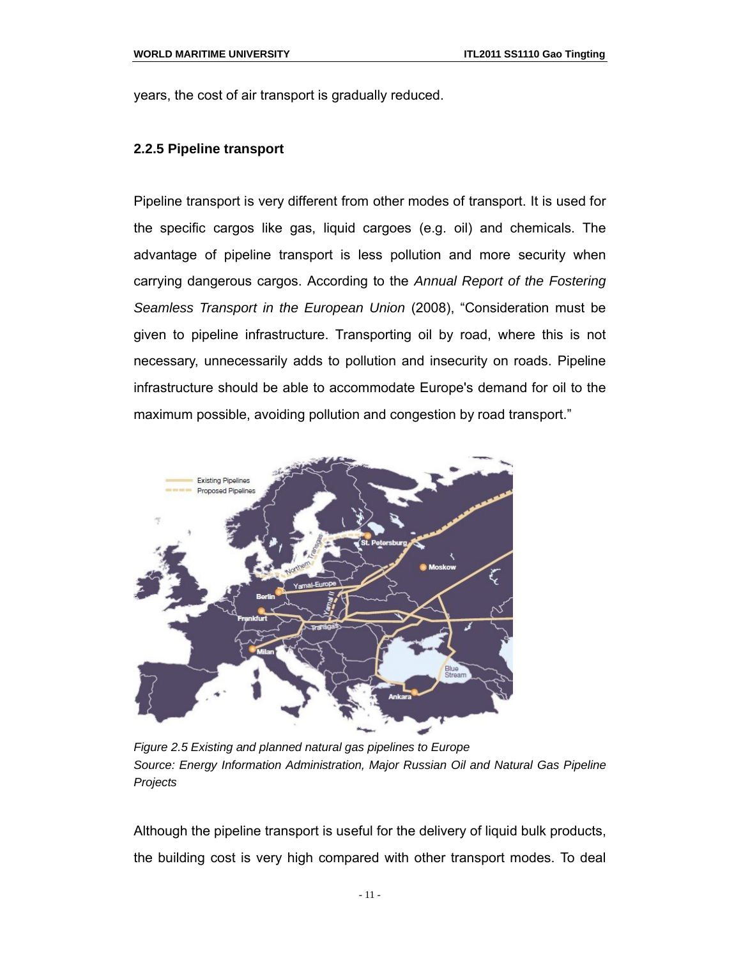years, the cost of air transport is gradually reduced.

#### **2.2.5 Pipeline transport**

Pipeline transport is very different from other modes of transport. It is used for the specific cargos like gas, liquid cargoes (e.g. oil) and chemicals. The advantage of pipeline transport is less pollution and more security when carrying dangerous cargos. According to the *Annual Report of the Fostering Seamless Transport in the European Union* (2008), "Consideration must be given to pipeline infrastructure. Transporting oil by road, where this is not necessary, unnecessarily adds to pollution and insecurity on roads. Pipeline infrastructure should be able to accommodate Europe's demand for oil to the maximum possible, avoiding pollution and congestion by road transport."



*Figure 2.5 Existing and planned natural gas pipelines to Europe Source: Energy Information Administration, Major Russian Oil and Natural Gas Pipeline Projects*

Although the pipeline transport is useful for the delivery of liquid bulk products, the building cost is very high compared with other transport modes. To deal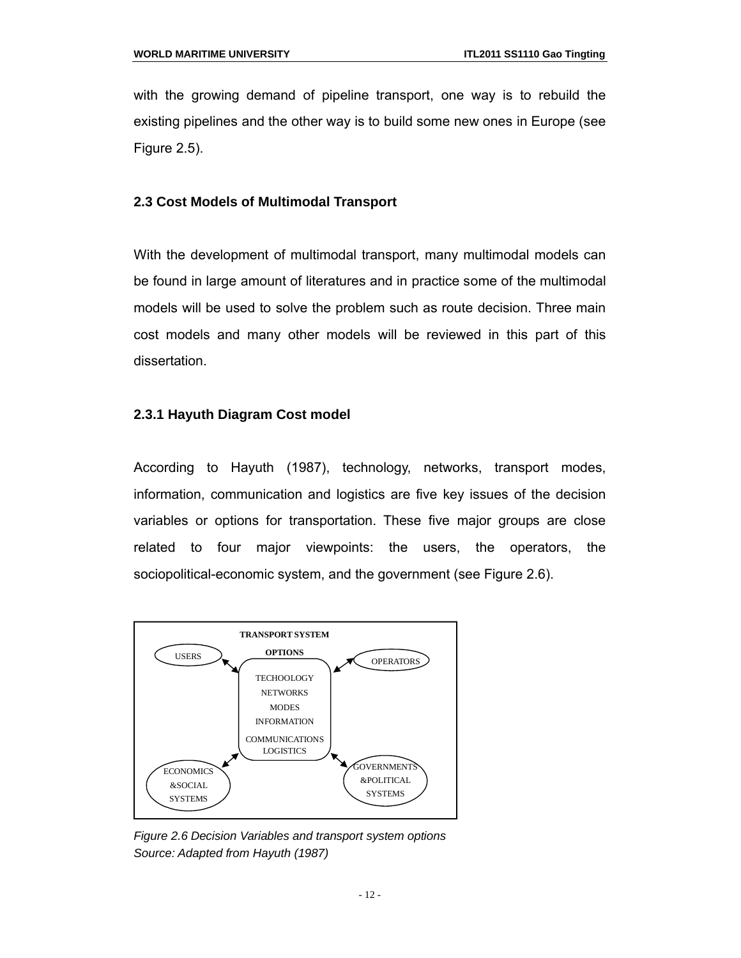with the growing demand of pipeline transport, one way is to rebuild the existing pipelines and the other way is to build some new ones in Europe (see Figure 2.5).

#### **2.3 Cost Models of Multimodal Transport**

With the development of multimodal transport, many multimodal models can be found in large amount of literatures and in practice some of the multimodal models will be used to solve the problem such as route decision. Three main cost models and many other models will be reviewed in this part of this dissertation.

#### **2.3.1 Hayuth Diagram Cost model**

According to Hayuth (1987), technology, networks, transport modes, information, communication and logistics are five key issues of the decision variables or options for transportation. These five major groups are close related to four major viewpoints: the users, the operators, the sociopolitical-economic system, and the government (see Figure 2.6).



*Figure 2.6 Decision Variables and transport system options Source: Adapted from Hayuth (1987)*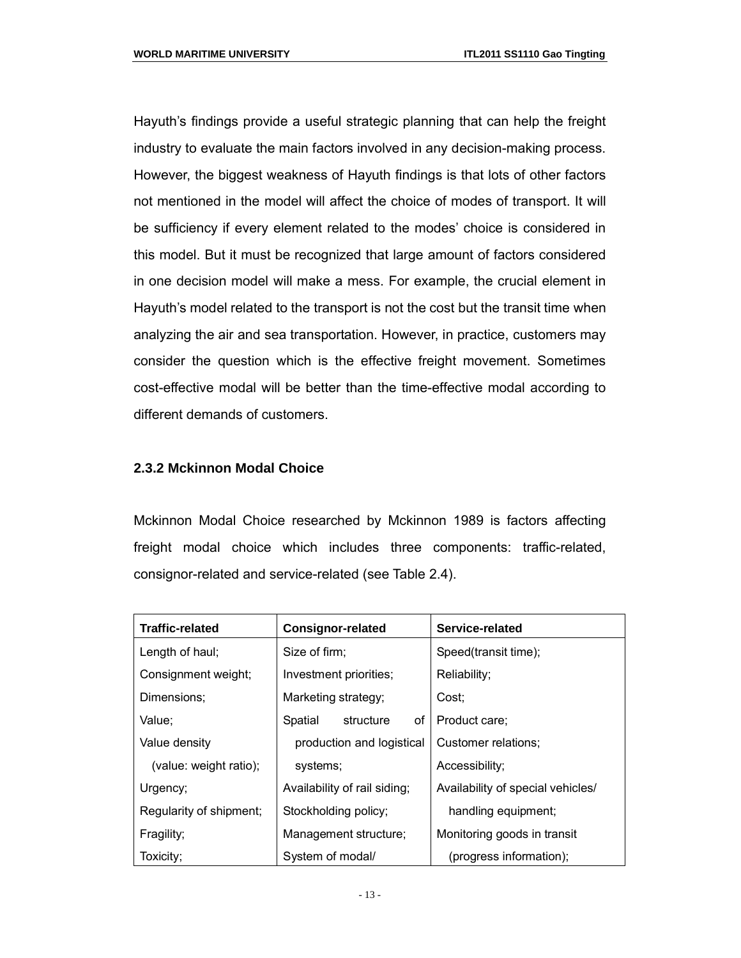Hayuth's findings provide a useful strategic planning that can help the freight industry to evaluate the main factors involved in any decision-making process. However, the biggest weakness of Hayuth findings is that lots of other factors not mentioned in the model will affect the choice of modes of transport. It will be sufficiency if every element related to the modes' choice is considered in this model. But it must be recognized that large amount of factors considered in one decision model will make a mess. For example, the crucial element in Hayuth's model related to the transport is not the cost but the transit time when analyzing the air and sea transportation. However, in practice, customers may consider the question which is the effective freight movement. Sometimes cost-effective modal will be better than the time-effective modal according to different demands of customers.

#### **2.3.2 Mckinnon Modal Choice**

Mckinnon Modal Choice researched by Mckinnon 1989 is factors affecting freight modal choice which includes three components: traffic-related, consignor-related and service-related (see Table 2.4).

| <b>Traffic-related</b>  | <b>Consignor-related</b>                    | Service-related                   |  |
|-------------------------|---------------------------------------------|-----------------------------------|--|
| Length of haul;         | Size of firm:                               | Speed(transit time);              |  |
| Consignment weight;     | Investment priorities;                      | Reliability;                      |  |
| Dimensions;             | Marketing strategy;                         | Cost;                             |  |
| Value:                  | structure<br>of<br>Spatial                  | Product care:                     |  |
| Value density           | production and logistical                   | Customer relations;               |  |
| (value: weight ratio);  | systems;                                    | Accessibility:                    |  |
| Urgency;                | Availability of rail siding;                | Availability of special vehicles/ |  |
| Regularity of shipment; | Stockholding policy;<br>handling equipment; |                                   |  |
| Fragility;              | Management structure;                       | Monitoring goods in transit       |  |
| Toxicity;               | System of modal/                            | (progress information);           |  |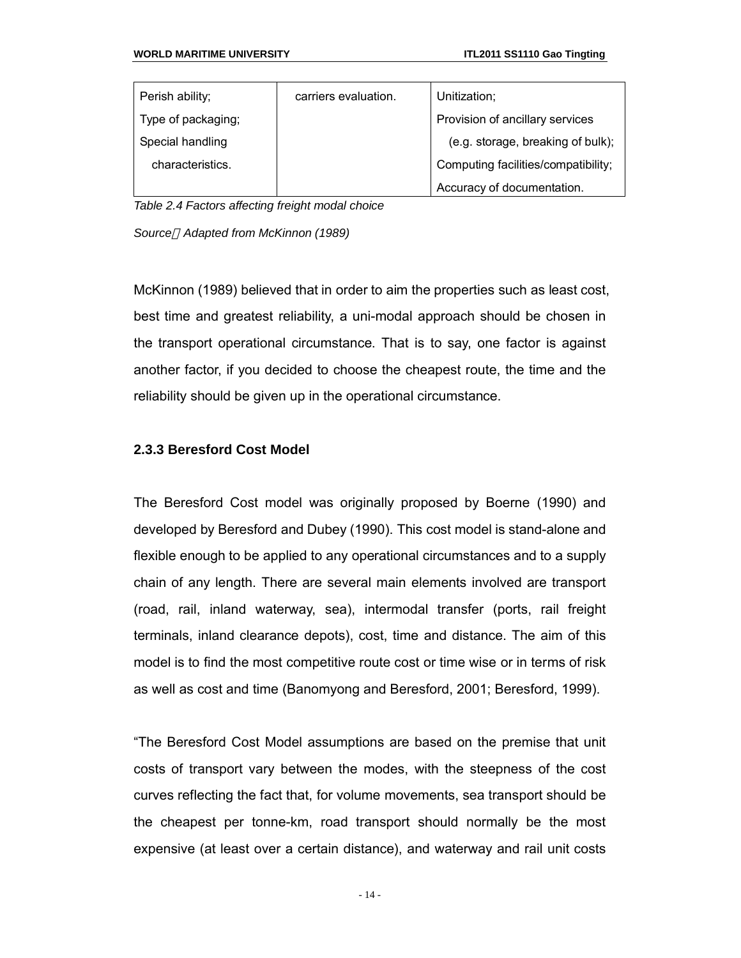| Perish ability;    | carriers evaluation. | Unitization;                        |
|--------------------|----------------------|-------------------------------------|
| Type of packaging; |                      | Provision of ancillary services     |
| Special handling   |                      | (e.g. storage, breaking of bulk);   |
| characteristics.   |                      | Computing facilities/compatibility; |
|                    |                      | Accuracy of documentation.          |

*Table 2.4 Factors affecting freight modal choice*

*Source Adapted from McKinnon (1989)*

McKinnon (1989) believed that in order to aim the properties such as least cost, best time and greatest reliability, a uni-modal approach should be chosen in the transport operational circumstance. That is to say, one factor is against another factor, if you decided to choose the cheapest route, the time and the reliability should be given up in the operational circumstance.

#### **2.3.3 Beresford Cost Model**

The Beresford Cost model was originally proposed by Boerne (1990) and developed by Beresford and Dubey (1990). This cost model is stand-alone and flexible enough to be applied to any operational circumstances and to a supply chain of any length. There are several main elements involved are transport (road, rail, inland waterway, sea), intermodal transfer (ports, rail freight terminals, inland clearance depots), cost, time and distance. The aim of this model is to find the most competitive route cost or time wise or in terms of risk as well as cost and time (Banomyong and Beresford, 2001; Beresford, 1999).

"The Beresford Cost Model assumptions are based on the premise that unit costs of transport vary between the modes, with the steepness of the cost curves reflecting the fact that, for volume movements, sea transport should be the cheapest per tonne-km, road transport should normally be the most expensive (at least over a certain distance), and waterway and rail unit costs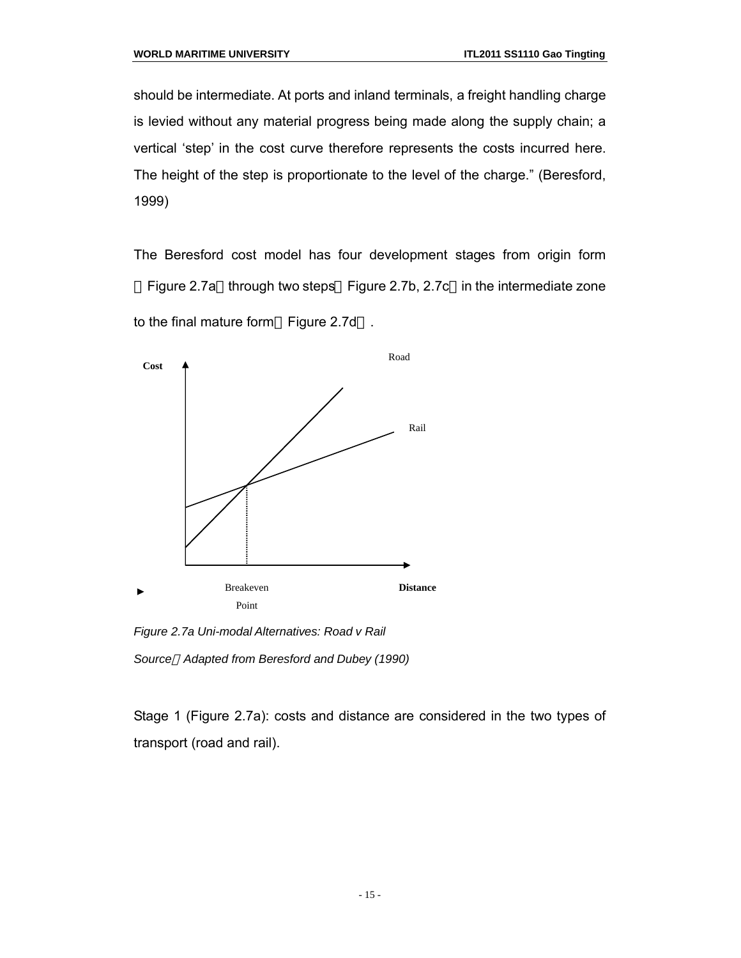should be intermediate. At ports and inland terminals, a freight handling charge is levied without any material progress being made along the supply chain; a vertical 'step' in the cost curve therefore represents the costs incurred here. The height of the step is proportionate to the level of the charge." (Beresford, 1999)

The Beresford cost model has four development stages from origin form Figure 2.7a through two steps Figure 2.7b, 2.7c in the intermediate zone to the final mature form Figure 2.7d .



*Figure 2.7a Uni-modal Alternatives: Road v Rail Source Adapted from Beresford and Dubey (1990)*

Stage 1 (Figure 2.7a): costs and distance are considered in the two types of transport (road and rail).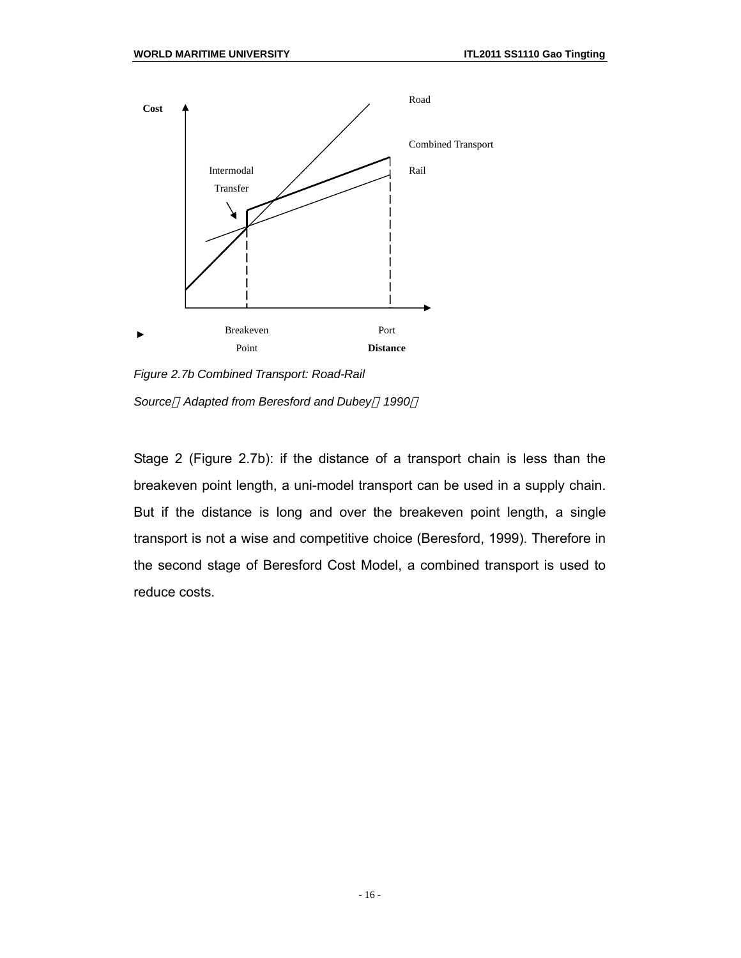

*Figure 2.7b Combined Transport: Road-Rail*

*Source Adapted from Beresford and Dubey 1990*

Stage 2 (Figure 2.7b): if the distance of a transport chain is less than the breakeven point length, a uni-model transport can be used in a supply chain. But if the distance is long and over the breakeven point length, a single transport is not a wise and competitive choice (Beresford, 1999). Therefore in the second stage of Beresford Cost Model, a combined transport is used to reduce costs.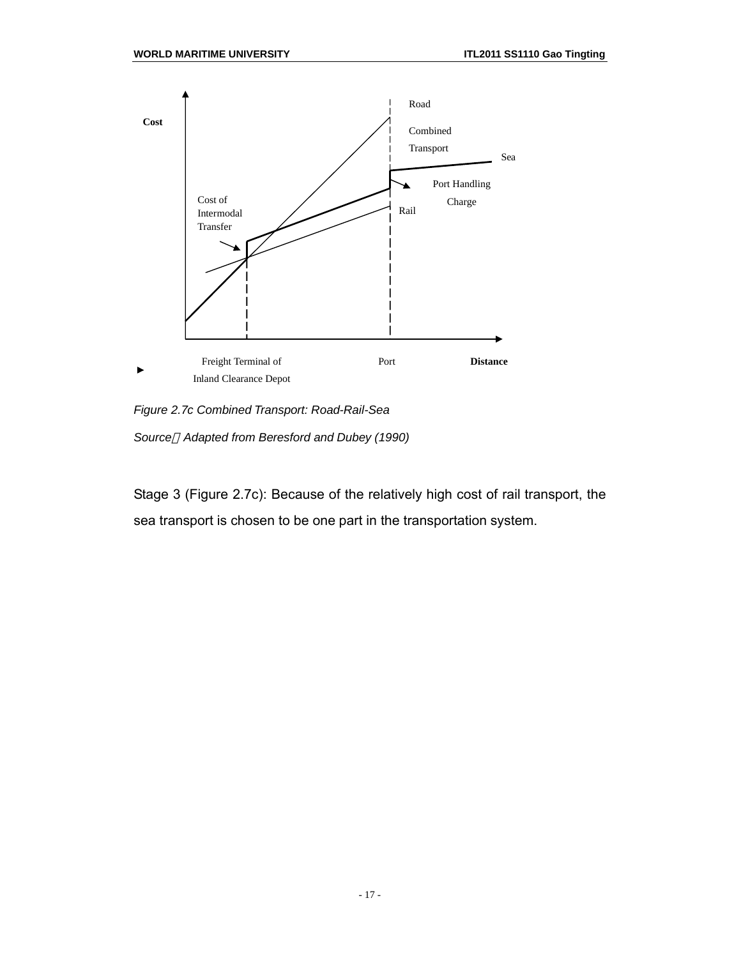

*Figure 2.7c Combined Transport: Road-Rail-Sea*

*Source Adapted from Beresford and Dubey (1990)*

Stage 3 (Figure 2.7c): Because of the relatively high cost of rail transport, the sea transport is chosen to be one part in the transportation system.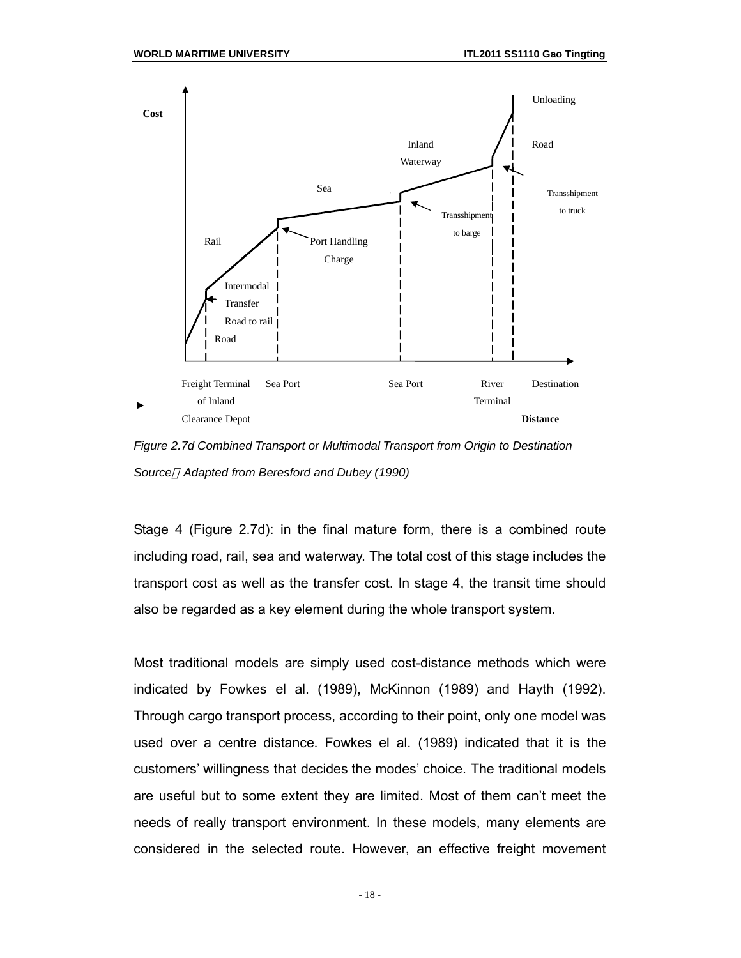

*Figure 2.7d Combined Transport or Multimodal Transport from Origin to Destination Source Adapted from Beresford and Dubey (1990)*

Stage 4 (Figure 2.7d): in the final mature form, there is a combined route including road, rail, sea and waterway. The total cost of this stage includes the transport cost as well as the transfer cost. In stage 4, the transit time should also be regarded as a key element during the whole transport system.

Most traditional models are simply used cost-distance methods which were indicated by Fowkes el al. (1989), McKinnon (1989) and Hayth (1992). Through cargo transport process, according to their point, only one model was used over a centre distance. Fowkes el al. (1989) indicated that it is the customers' willingness that decides the modes' choice. The traditional models are useful but to some extent they are limited. Most of them can't meet the needs of really transport environment. In these models, many elements are considered in the selected route. However, an effective freight movement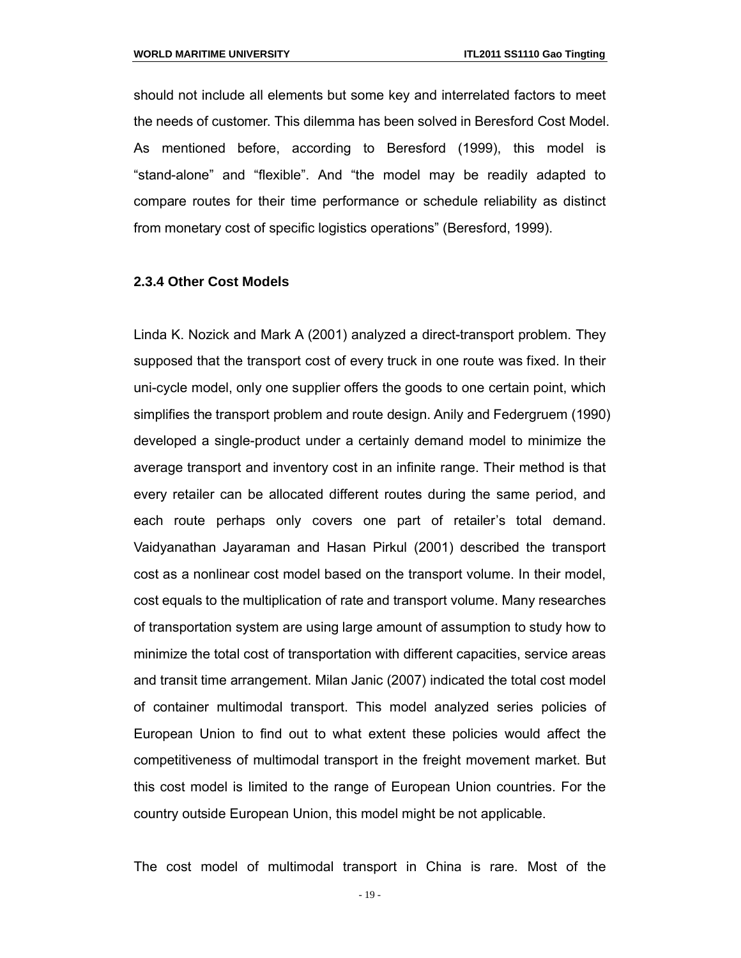should not include all elements but some key and interrelated factors to meet the needs of customer. This dilemma has been solved in Beresford Cost Model. As mentioned before, according to Beresford (1999), this model is "stand-alone" and "flexible". And "the model may be readily adapted to compare routes for their time performance or schedule reliability as distinct from monetary cost of specific logistics operations" (Beresford, 1999).

#### **2.3.4 Other Cost Models**

Linda K. Nozick and Mark A (2001) analyzed a direct-transport problem. They supposed that the transport cost of every truck in one route was fixed. In their uni-cycle model, only one supplier offers the goods to one certain point, which simplifies the transport problem and route design. Anily and Federgruem (1990) developed a single-product under a certainly demand model to minimize the average transport and inventory cost in an infinite range. Their method is that every retailer can be allocated different routes during the same period, and each route perhaps only covers one part of retailer's total demand. Vaidyanathan Jayaraman and Hasan Pirkul (2001) described the transport cost as a nonlinear cost model based on the transport volume. In their model, cost equals to the multiplication of rate and transport volume. Many researches of transportation system are using large amount of assumption to study how to minimize the total cost of transportation with different capacities, service areas and transit time arrangement. Milan Janic (2007) indicated the total cost model of container multimodal transport. This model analyzed series policies of European Union to find out to what extent these policies would affect the competitiveness of multimodal transport in the freight movement market. But this cost model is limited to the range of European Union countries. For the country outside European Union, this model might be not applicable.

The cost model of multimodal transport in China is rare. Most of the

- 19 -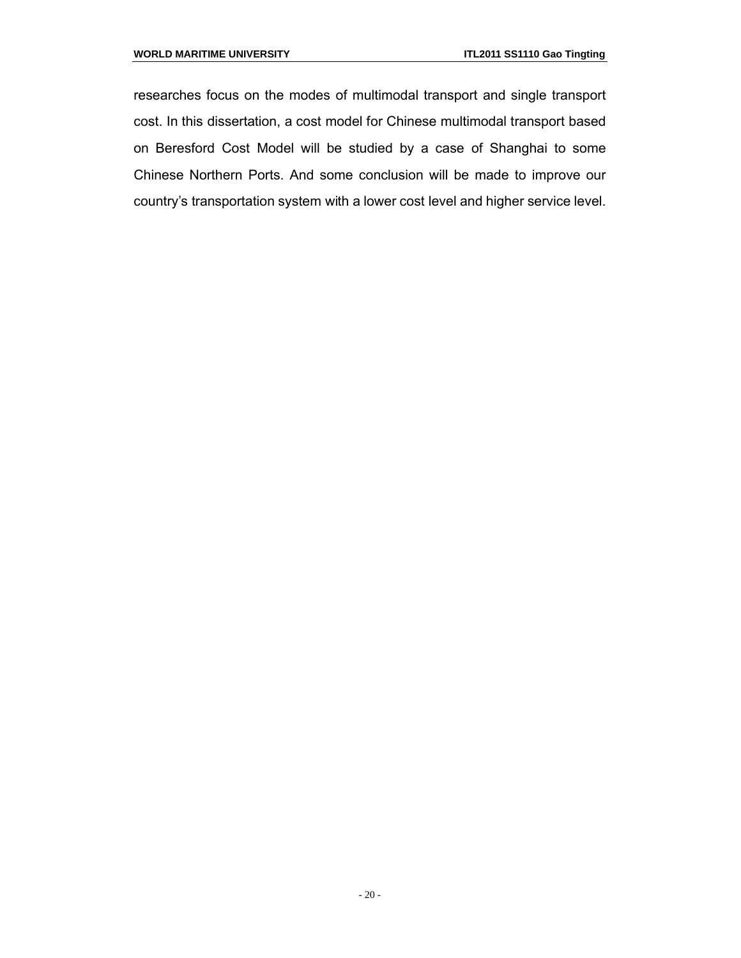researches focus on the modes of multimodal transport and single transport cost. In this dissertation, a cost model for Chinese multimodal transport based on Beresford Cost Model will be studied by a case of Shanghai to some Chinese Northern Ports. And some conclusion will be made to improve our country's transportation system with a lower cost level and higher service level.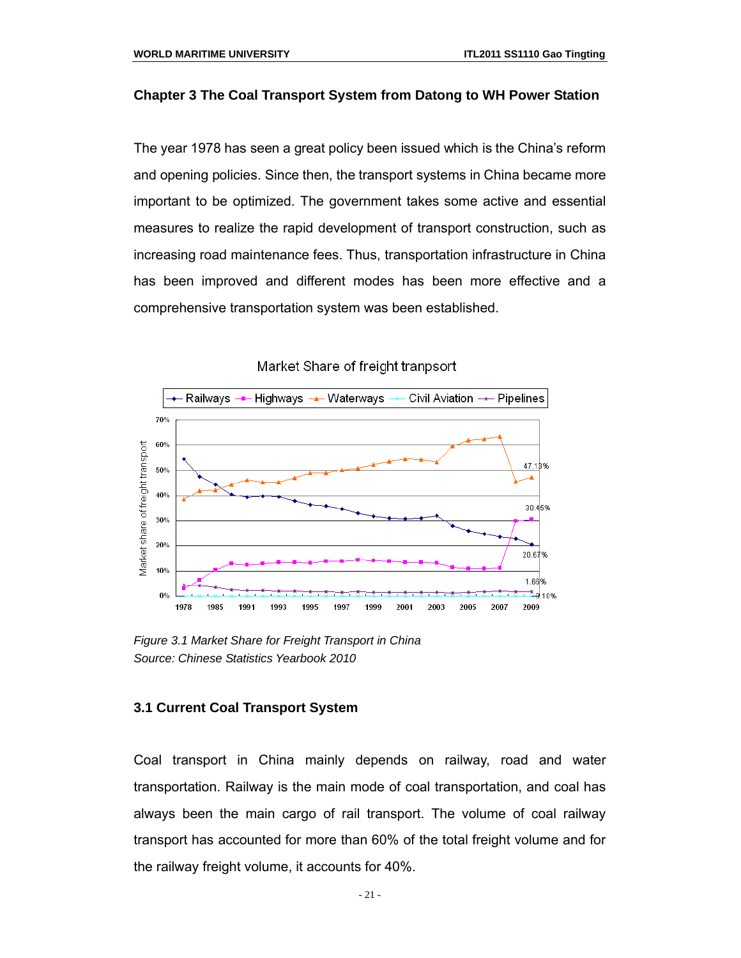#### **Chapter 3 The Coal Transport System from Datong to WH Power Station**

The year 1978 has seen a great policy been issued which is the China's reform and opening policies. Since then, the transport systems in China became more important to be optimized. The government takes some active and essential measures to realize the rapid development of transport construction, such as increasing road maintenance fees. Thus, transportation infrastructure in China has been improved and different modes has been more effective and a comprehensive transportation system was been established.



Market Share of freight tranpsort

*Figure 3.1 Market Share for Freight Transport in China Source: Chinese Statistics Yearbook 2010*

#### **3.1 Current Coal Transport System**

Coal transport in China mainly depends on railway, road and water transportation. Railway is the main mode of coal transportation, and coal has always been the main cargo of rail transport. The volume of coal railway transport has accounted for more than 60% of the total freight volume and for the railway freight volume, it accounts for 40%.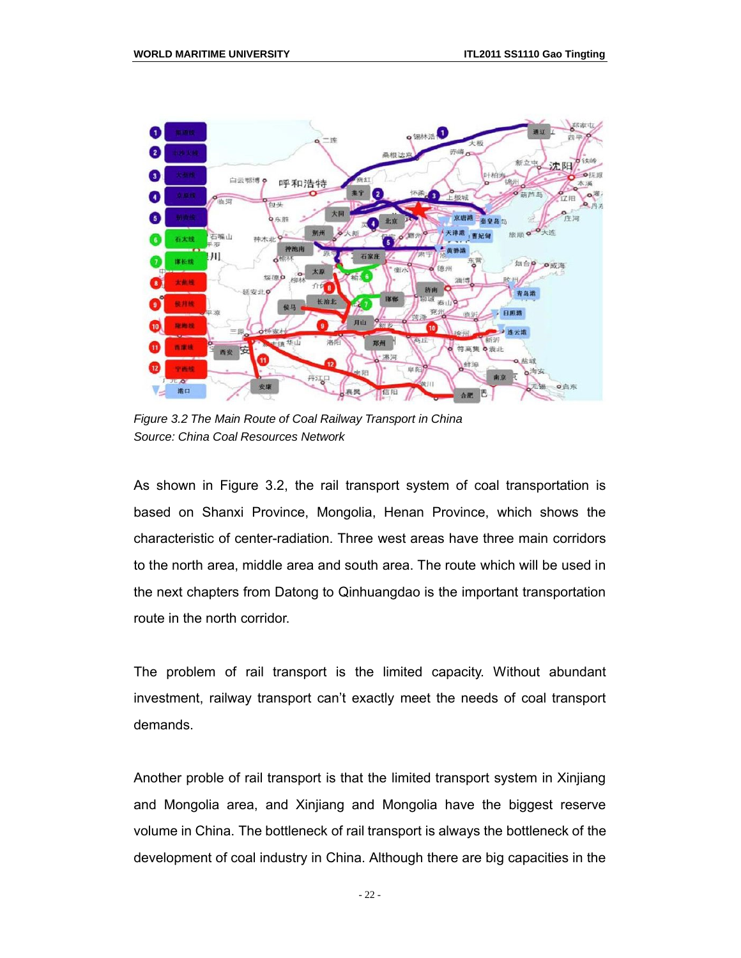

*Figure 3.2 The Main Route of Coal Railway Transport in China Source: China Coal Resources Network*

As shown in Figure 3.2, the rail transport system of coal transportation is based on Shanxi Province, Mongolia, Henan Province, which shows the characteristic of center-radiation. Three west areas have three main corridors to the north area, middle area and south area. The route which will be used in the next chapters from Datong to Qinhuangdao is the important transportation route in the north corridor.

The problem of rail transport is the limited capacity. Without abundant investment, railway transport can't exactly meet the needs of coal transport demands.

Another proble of rail transport is that the limited transport system in Xinjiang and Mongolia area, and Xinjiang and Mongolia have the biggest reserve volume in China. The bottleneck of rail transport is always the bottleneck of the development of coal industry in China. Although there are big capacities in the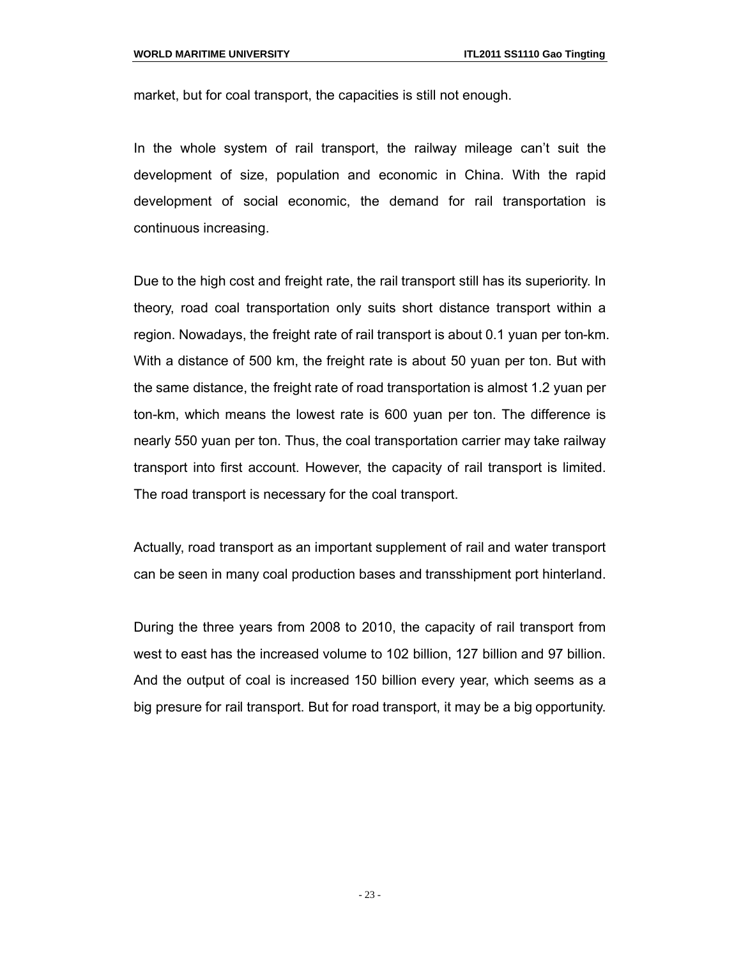market, but for coal transport, the capacities is still not enough.

In the whole system of rail transport, the railway mileage can't suit the development of size, population and economic in China. With the rapid development of social economic, the demand for rail transportation is continuous increasing.

Due to the high cost and freight rate, the rail transport still has its superiority. In theory, road coal transportation only suits short distance transport within a region. Nowadays, the freight rate of rail transport is about 0.1 yuan per ton-km. With a distance of 500 km, the freight rate is about 50 yuan per ton. But with the same distance, the freight rate of road transportation is almost 1.2 yuan per ton-km, which means the lowest rate is 600 yuan per ton. The difference is nearly 550 yuan per ton. Thus, the coal transportation carrier may take railway transport into first account. However, the capacity of rail transport is limited. The road transport is necessary for the coal transport.

Actually, road transport as an important supplement of rail and water transport can be seen in many coal production bases and transshipment port hinterland.

During the three years from 2008 to 2010, the capacity of rail transport from west to east has the increased volume to 102 billion, 127 billion and 97 billion. And the output of coal is increased 150 billion every year, which seems as a big presure for rail transport. But for road transport, it may be a big opportunity.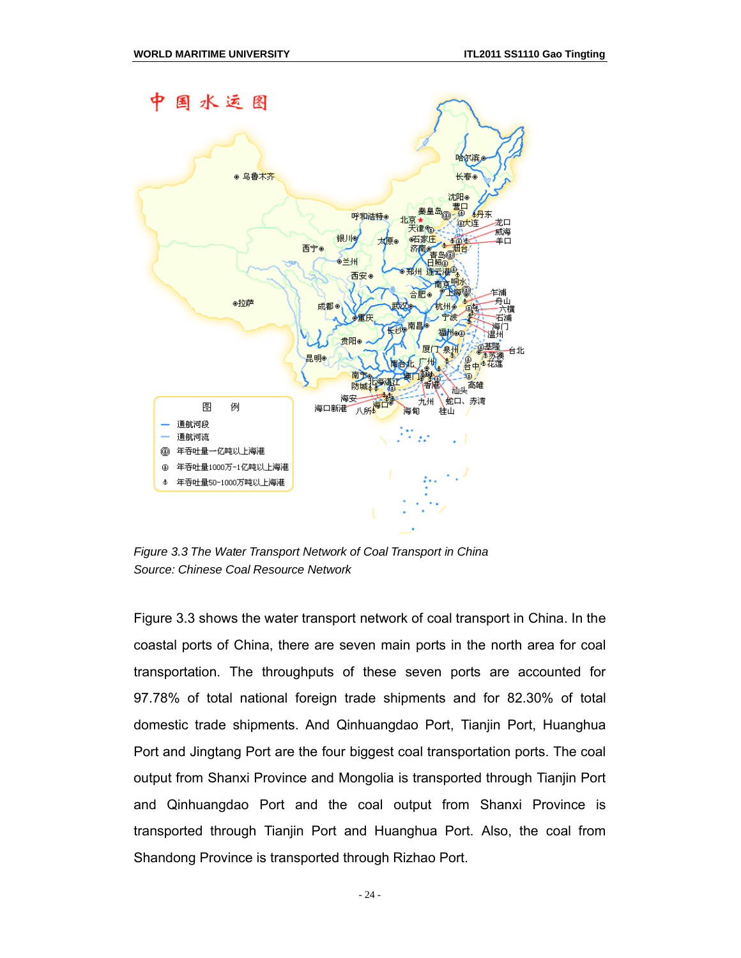

*Figure 3.3 The Water Transport Network of Coal Transport in China Source: Chinese Coal Resource Network*

Figure 3.3 shows the water transport network of coal transport in China. In the coastal ports of China, there are seven main ports in the north area for coal transportation. The throughputs of these seven ports are accounted for 97.78% of total national foreign trade shipments and for 82.30% of total domestic trade shipments. And Qinhuangdao Port, Tianjin Port, Huanghua Port and Jingtang Port are the four biggest coal transportation ports. The coal output from Shanxi Province and Mongolia is transported through Tianjin Port and Qinhuangdao Port and the coal output from Shanxi Province is transported through Tianjin Port and Huanghua Port. Also, the coal from Shandong Province is transported through Rizhao Port.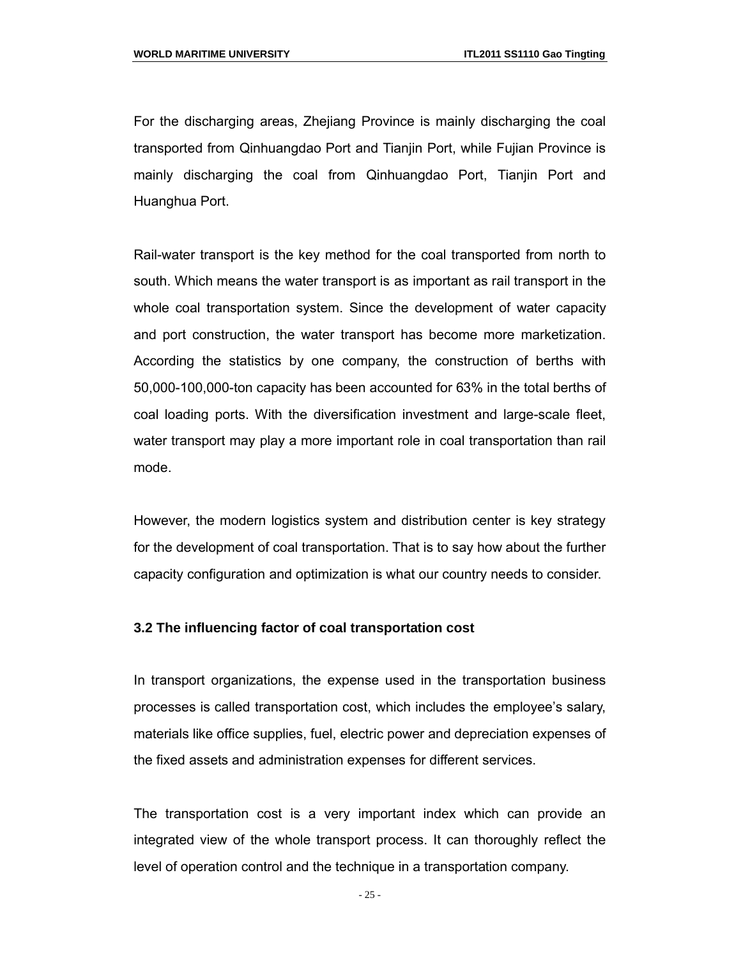For the discharging areas, Zhejiang Province is mainly discharging the coal transported from Qinhuangdao Port and Tianjin Port, while Fujian Province is mainly discharging the coal from Qinhuangdao Port, Tianjin Port and Huanghua Port.

Rail-water transport is the key method for the coal transported from north to south. Which means the water transport is as important as rail transport in the whole coal transportation system. Since the development of water capacity and port construction, the water transport has become more marketization. According the statistics by one company, the construction of berths with 50,000-100,000-ton capacity has been accounted for 63% in the total berths of coal loading ports. With the diversification investment and large-scale fleet, water transport may play a more important role in coal transportation than rail mode.

However, the modern logistics system and distribution center is key strategy for the development of coal transportation. That is to say how about the further capacity configuration and optimization is what our country needs to consider.

#### **3.2 The influencing factor of coal transportation cost**

In transport organizations, the expense used in the transportation business processes is called transportation cost, which includes the employee's salary, materials like office supplies, fuel, electric power and depreciation expenses of the fixed assets and administration expenses for different services.

The transportation cost is a very important index which can provide an integrated view of the whole transport process. It can thoroughly reflect the level of operation control and the technique in a transportation company.

- 25 -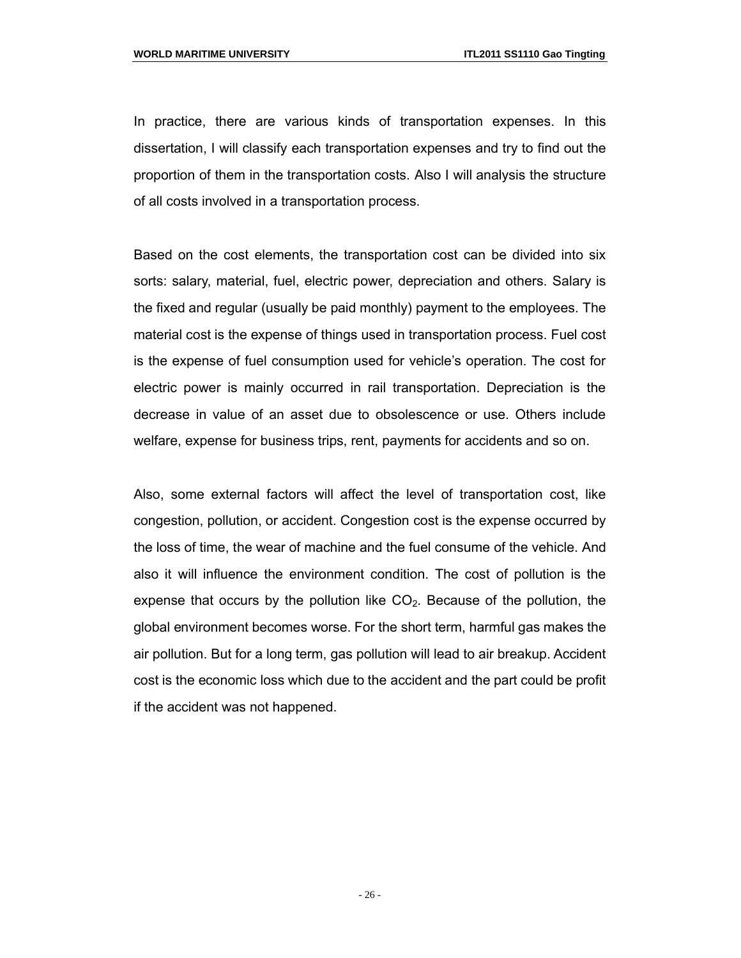In practice, there are various kinds of transportation expenses. In this dissertation, I will classify each transportation expenses and try to find out the proportion of them in the transportation costs. Also I will analysis the structure of all costs involved in a transportation process.

Based on the cost elements, the transportation cost can be divided into six sorts: salary, material, fuel, electric power, depreciation and others. Salary is the fixed and regular (usually be paid monthly) payment to the employees. The material cost is the expense of things used in transportation process. Fuel cost is the expense of fuel consumption used for vehicle's operation. The cost for electric power is mainly occurred in rail transportation. Depreciation is the decrease in value of an asset due to obsolescence or use. Others include welfare, expense for business trips, rent, payments for accidents and so on.

Also, some external factors will affect the level of transportation cost, like congestion, pollution, or accident. Congestion cost is the expense occurred by the loss of time, the wear of machine and the fuel consume of the vehicle. And also it will influence the environment condition. The cost of pollution is the expense that occurs by the pollution like  $CO<sub>2</sub>$ . Because of the pollution, the global environment becomes worse. For the short term, harmful gas makes the air pollution. But for a long term, gas pollution will lead to air breakup. Accident cost is the economic loss which due to the accident and the part could be profit if the accident was not happened.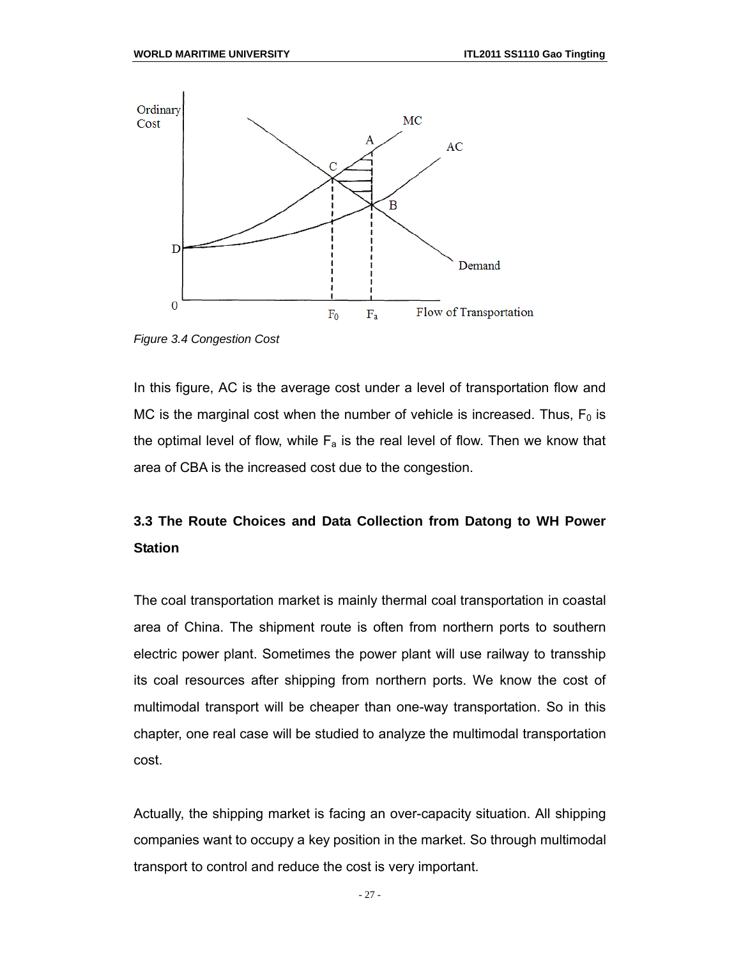

*Figure 3.4 Congestion Cost*

In this figure, AC is the average cost under a level of transportation flow and MC is the marginal cost when the number of vehicle is increased. Thus,  $F_0$  is the optimal level of flow, while  $F_a$  is the real level of flow. Then we know that area of CBA is the increased cost due to the congestion.

## **3.3 The Route Choices and Data Collection from Datong to WH Power Station**

The coal transportation market is mainly thermal coal transportation in coastal area of China. The shipment route is often from northern ports to southern electric power plant. Sometimes the power plant will use railway to transship its coal resources after shipping from northern ports. We know the cost of multimodal transport will be cheaper than one-way transportation. So in this chapter, one real case will be studied to analyze the multimodal transportation cost.

Actually, the shipping market is facing an over-capacity situation. All shipping companies want to occupy a key position in the market. So through multimodal transport to control and reduce the cost is very important.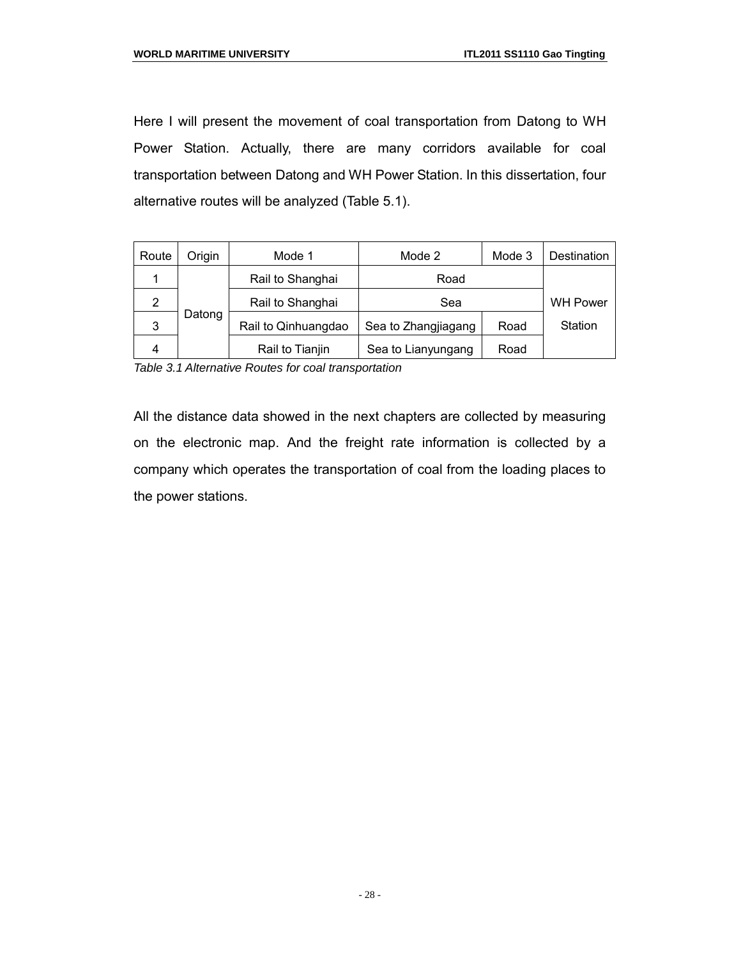Here I will present the movement of coal transportation from Datong to WH Power Station. Actually, there are many corridors available for coal transportation between Datong and WH Power Station. In this dissertation, four alternative routes will be analyzed (Table 5.1).

| Route | Origin | Mode 1<br>Mode 2    |                     | Mode 3 | Destination     |
|-------|--------|---------------------|---------------------|--------|-----------------|
|       |        | Rail to Shanghai    | Road                |        |                 |
| 2     |        | Rail to Shanghai    | Sea                 |        | <b>WH Power</b> |
| 3     | Datong | Rail to Qinhuangdao | Sea to Zhangjiagang | Road   | Station         |
|       |        | Rail to Tianjin     | Sea to Lianyungang  | Road   |                 |

*Table 3.1 Alternative Routes for coal transportation*

All the distance data showed in the next chapters are collected by measuring on the electronic map. And the freight rate information is collected by a company which operates the transportation of coal from the loading places to the power stations.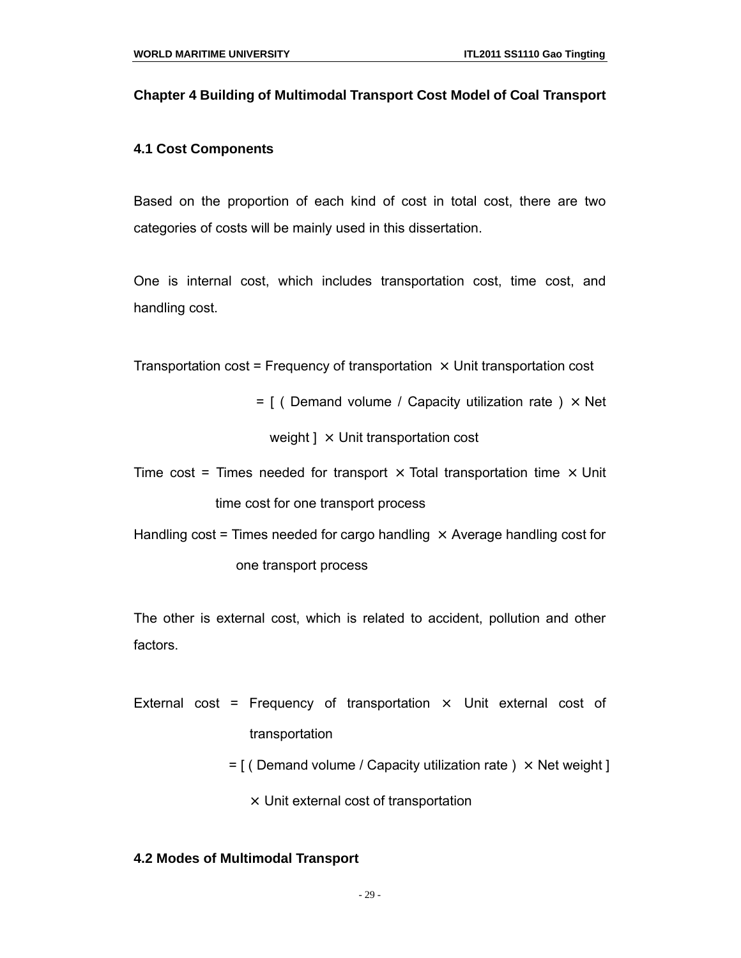#### **Chapter 4 Building of Multimodal Transport Cost Model of Coal Transport**

#### **4.1 Cost Components**

Based on the proportion of each kind of cost in total cost, there are two categories of costs will be mainly used in this dissertation.

One is internal cost, which includes transportation cost, time cost, and handling cost.

Transportation cost = Frequency of transportation  $\times$  Unit transportation cost

 $=$  [ ( Demand volume / Capacity utilization rate )  $\times$  Net

weight  $\rightarrow$  Unit transportation cost

Time cost = Times needed for transport  $\times$  Total transportation time  $\times$  Unit time cost for one transport process

Handling cost = Times needed for cargo handling  $\times$  Average handling cost for one transport process

The other is external cost, which is related to accident, pollution and other factors.

- External cost = Frequency of transportation  $\times$  Unit external cost of transportation
	- $=$  [ ( Demand volume / Capacity utilization rate )  $\times$  Net weight ]

 $\times$  Unit external cost of transportation

#### **4.2 Modes of Multimodal Transport**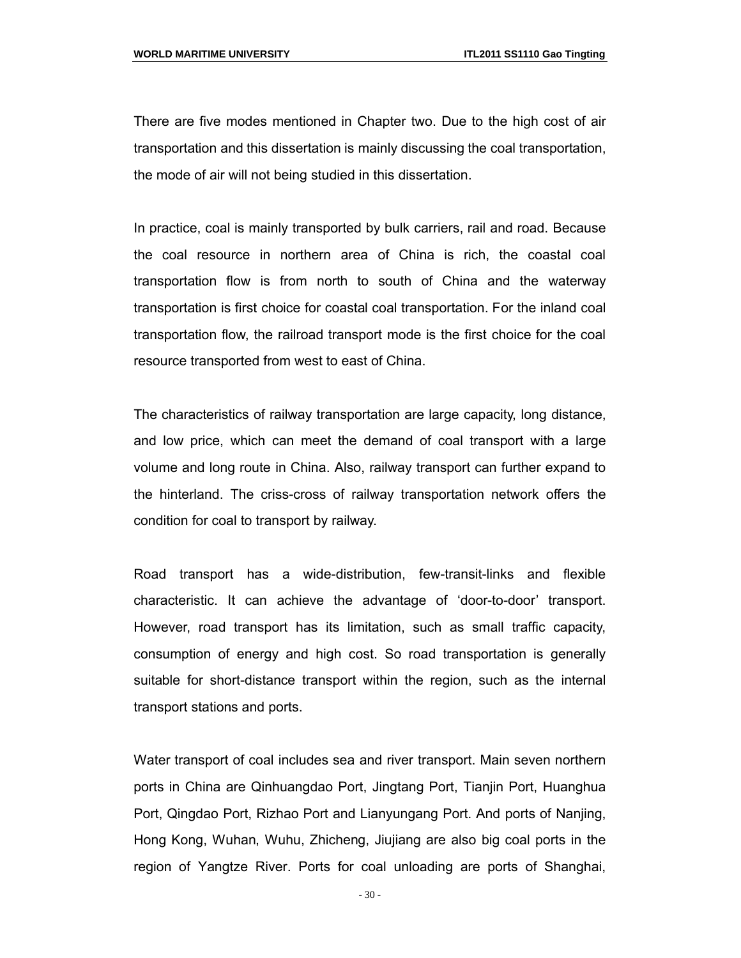There are five modes mentioned in Chapter two. Due to the high cost of air transportation and this dissertation is mainly discussing the coal transportation, the mode of air will not being studied in this dissertation.

In practice, coal is mainly transported by bulk carriers, rail and road. Because the coal resource in northern area of China is rich, the coastal coal transportation flow is from north to south of China and the waterway transportation is first choice for coastal coal transportation. For the inland coal transportation flow, the railroad transport mode is the first choice for the coal resource transported from west to east of China.

The characteristics of railway transportation are large capacity, long distance, and low price, which can meet the demand of coal transport with a large volume and long route in China. Also, railway transport can further expand to the hinterland. The criss-cross of railway transportation network offers the condition for coal to transport by railway.

Road transport has a wide-distribution, few-transit-links and flexible characteristic. It can achieve the advantage of 'door-to-door' transport. However, road transport has its limitation, such as small traffic capacity, consumption of energy and high cost. So road transportation is generally suitable for short-distance transport within the region, such as the internal transport stations and ports.

Water transport of coal includes sea and river transport. Main seven northern ports in China are Qinhuangdao Port, Jingtang Port, Tianjin Port, Huanghua Port, Qingdao Port, Rizhao Port and Lianyungang Port. And ports of Nanjing, Hong Kong, Wuhan, Wuhu, Zhicheng, Jiujiang are also big coal ports in the region of Yangtze River. Ports for coal unloading are ports of Shanghai,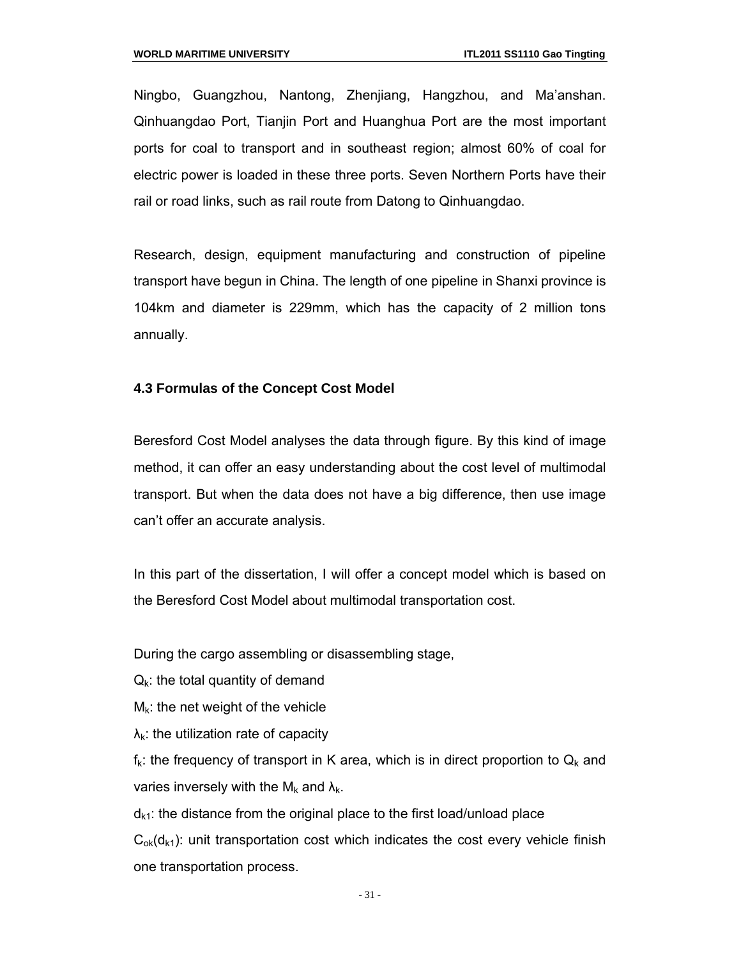Ningbo, Guangzhou, Nantong, Zhenjiang, Hangzhou, and Ma'anshan. Qinhuangdao Port, Tianjin Port and Huanghua Port are the most important ports for coal to transport and in southeast region; almost 60% of coal for electric power is loaded in these three ports. Seven Northern Ports have their rail or road links, such as rail route from Datong to Qinhuangdao.

Research, design, equipment manufacturing and construction of pipeline transport have begun in China. The length of one pipeline in Shanxi province is 104km and diameter is 229mm, which has the capacity of 2 million tons annually.

#### **4.3 Formulas of the Concept Cost Model**

Beresford Cost Model analyses the data through figure. By this kind of image method, it can offer an easy understanding about the cost level of multimodal transport. But when the data does not have a big difference, then use image can't offer an accurate analysis.

In this part of the dissertation, I will offer a concept model which is based on the Beresford Cost Model about multimodal transportation cost.

During the cargo assembling or disassembling stage,

 $Q_k$ : the total quantity of demand

- $M_k$ : the net weight of the vehicle
- $\lambda_{k}$ : the utilization rate of capacity

 $f_k$ : the frequency of transport in K area, which is in direct proportion to  $Q_k$  and varies inversely with the  $M_k$  and  $\lambda_k$ .

 $d_{k1}$ : the distance from the original place to the first load/unload place  $C_{ok}(d_{k1})$ : unit transportation cost which indicates the cost every vehicle finish one transportation process.

- 31 -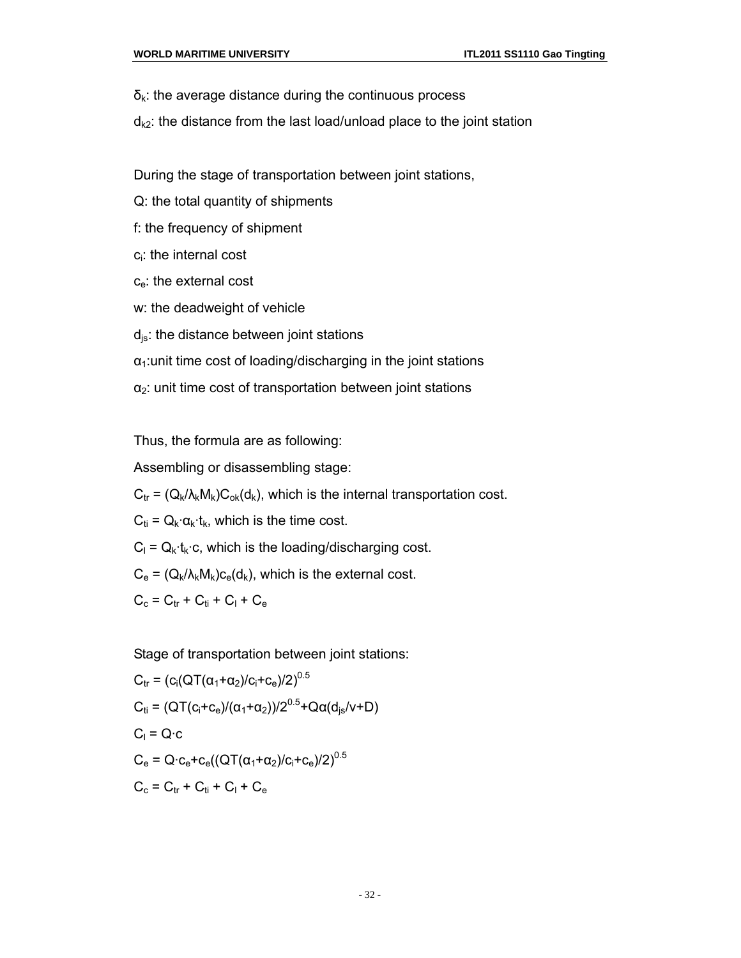- $\delta_{k}$ : the average distance during the continuous process
- $d_{k2}$ : the distance from the last load/unload place to the joint station
- During the stage of transportation between joint stations,
- Q: the total quantity of shipments
- f: the frequency of shipment
- ci: the internal cost
- c<sub>e</sub>: the external cost
- w: the deadweight of vehicle
- $d_{is}$ : the distance between joint stations
- $\alpha_1$ : unit time cost of loading/discharging in the joint stations
- $\alpha_2$ : unit time cost of transportation between joint stations

Thus, the formula are as following:

Assembling or disassembling stage:

 $C_{tr} = (Q_k / \lambda_k M_k) C_{ok}(d_k)$ , which is the internal transportation cost.

 $C_{ti} = Q_k \cdot \alpha_k \cdot t_k$ , which is the time cost.

 $C_1 = Q_k \cdot t_k \cdot c$ , which is the loading/discharging cost.

 $C_e = (Q_k/\lambda_k M_k)c_e(d_k)$ , which is the external cost.

$$
C_{c} = C_{tr} + C_{ti} + C_{l} + C_{e}
$$

Stage of transportation between joint stations:

$$
C_{tr} = (c_i(QT(\alpha_1 + \alpha_2)/c_i + c_e)/2)^{0.5}
$$
  
\n
$$
C_{ti} = (QT(c_i + c_e)/(\alpha_1 + \alpha_2))/2^{0.5} + Q\alpha(d_{js}/v + D)
$$
  
\n
$$
C_i = Q \cdot c
$$
  
\n
$$
C_e = Q \cdot c_e + c_e((QT(\alpha_1 + \alpha_2)/c_i + c_e)/2)^{0.5}
$$
  
\n
$$
C_c = C_{tr} + C_{ti} + C_l + C_e
$$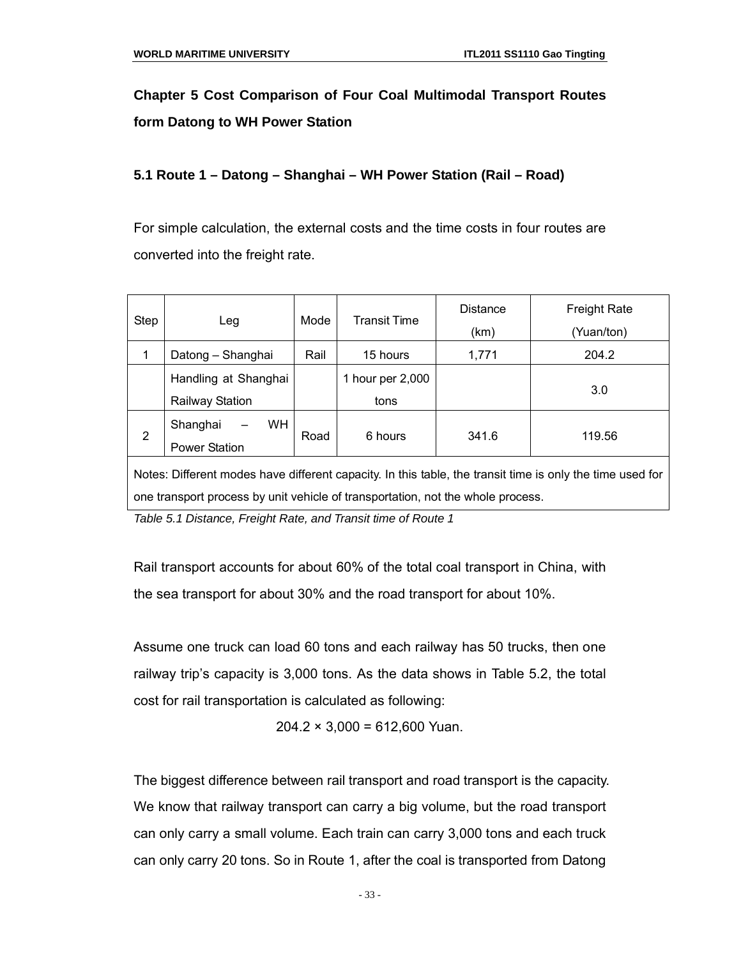## **Chapter 5 Cost Comparison of Four Coal Multimodal Transport Routes form Datong to WH Power Station**

#### **5.1 Route 1 – Datong – Shanghai – WH Power Station (Rail – Road)**

For simple calculation, the external costs and the time costs in four routes are converted into the freight rate.

| <b>Step</b>                                                                                                                                                                                  | Leg                                                                           | Mode | <b>Transit Time</b>      | <b>Distance</b><br>(km) | <b>Freight Rate</b><br>(Yuan/ton) |  |  |
|----------------------------------------------------------------------------------------------------------------------------------------------------------------------------------------------|-------------------------------------------------------------------------------|------|--------------------------|-------------------------|-----------------------------------|--|--|
| 1                                                                                                                                                                                            | Datong - Shanghai                                                             | Rail | 15 hours                 | 1,771                   | 204.2                             |  |  |
|                                                                                                                                                                                              | Handling at Shanghai<br><b>Railway Station</b>                                |      | 1 hour per 2,000<br>tons |                         | 3.0                               |  |  |
| 2                                                                                                                                                                                            | WH.<br>Shanghai<br>6 hours<br>341.6<br>119.56<br>Road<br><b>Power Station</b> |      |                          |                         |                                   |  |  |
| Notes: Different modes have different capacity. In this table, the transit time is only the time used for<br>one transport process by unit vehicle of transportation, not the whole process. |                                                                               |      |                          |                         |                                   |  |  |

*Table 5.1 Distance, Freight Rate, and Transit time of Route 1*

Rail transport accounts for about 60% of the total coal transport in China, with the sea transport for about 30% and the road transport for about 10%.

Assume one truck can load 60 tons and each railway has 50 trucks, then one railway trip's capacity is 3,000 tons. As the data shows in Table 5.2, the total cost for rail transportation is calculated as following:

 $204.2 \times 3,000 = 612,600$  Yuan.

The biggest difference between rail transport and road transport is the capacity. We know that railway transport can carry a big volume, but the road transport can only carry a small volume. Each train can carry 3,000 tons and each truck can only carry 20 tons. So in Route 1, after the coal is transported from Datong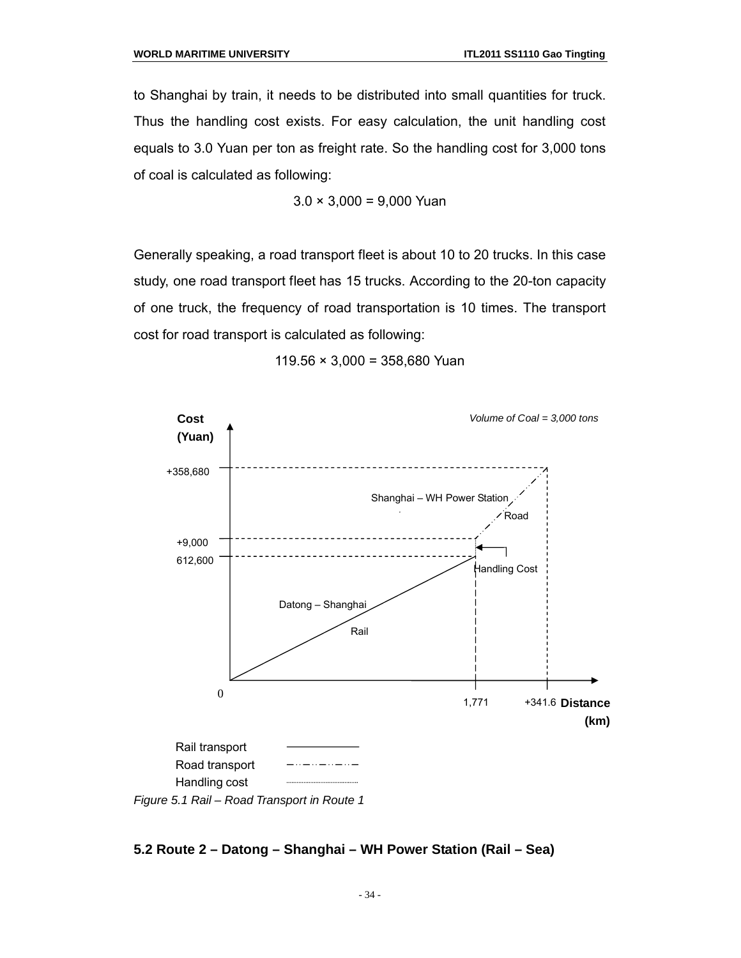to Shanghai by train, it needs to be distributed into small quantities for truck. Thus the handling cost exists. For easy calculation, the unit handling cost equals to 3.0 Yuan per ton as freight rate. So the handling cost for 3,000 tons of coal is calculated as following:

$$
3.0 \times 3,000 = 9,000
$$
 Yuan

Generally speaking, a road transport fleet is about 10 to 20 trucks. In this case study, one road transport fleet has 15 trucks. According to the 20-ton capacity of one truck, the frequency of road transportation is 10 times. The transport cost for road transport is calculated as following:



 $119.56 \times 3,000 = 358,680$  Yuan

## **5.2 Route 2 – Datong – Shanghai – WH Power Station (Rail – Sea)**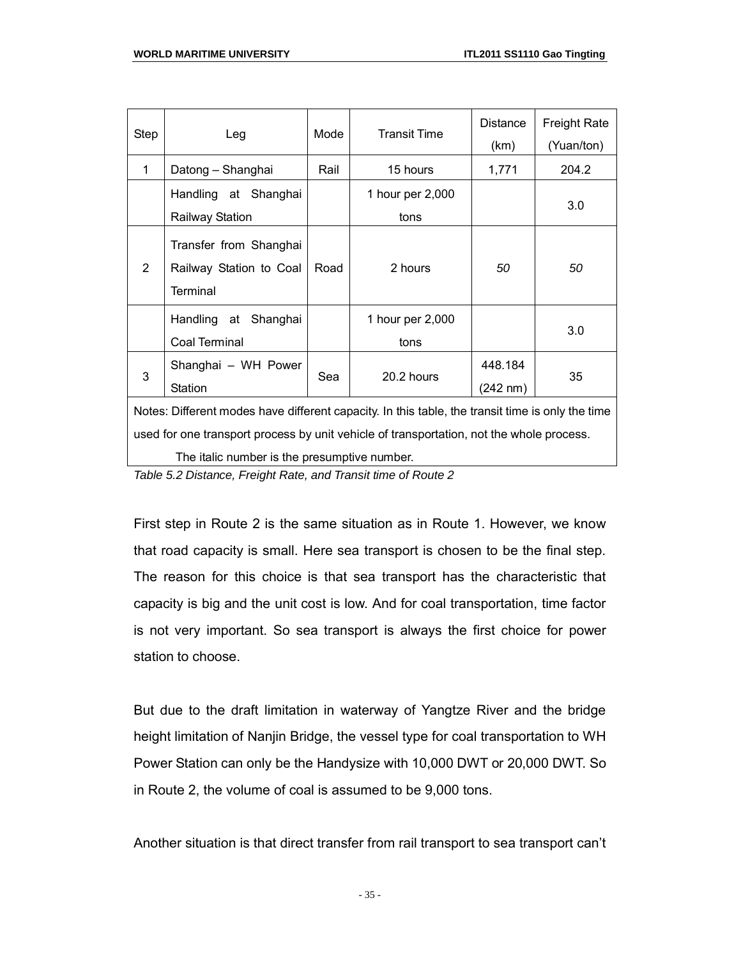| Step                                                                                                                                                                                         | Leg                                                                  | Mode | <b>Transit Time</b>      | <b>Distance</b><br>(km) | <b>Freight Rate</b><br>(Yuan/ton) |
|----------------------------------------------------------------------------------------------------------------------------------------------------------------------------------------------|----------------------------------------------------------------------|------|--------------------------|-------------------------|-----------------------------------|
| $\mathbf 1$                                                                                                                                                                                  | Datong – Shanghai                                                    | Rail | 15 hours                 | 1,771                   | 204.2                             |
|                                                                                                                                                                                              | Handling at Shanghai<br><b>Railway Station</b>                       |      | 1 hour per 2,000<br>tons |                         | 3.0                               |
| $\overline{2}$                                                                                                                                                                               | Transfer from Shanghai<br>Railway Station to Coal<br><b>Terminal</b> | Road | 2 hours                  | 50                      | 50                                |
|                                                                                                                                                                                              | Handling at Shanghai<br>Coal Terminal                                |      | 1 hour per 2,000<br>tons |                         | 3.0                               |
| 3                                                                                                                                                                                            | Shanghai - WH Power<br>Station                                       | Sea  | 20.2 hours               | 448.184<br>(242 nm)     | 35                                |
| Notes: Different modes have different capacity. In this table, the transit time is only the time<br>used for one transport process by unit vehicle of transportation, not the whole process. |                                                                      |      |                          |                         |                                   |

The italic number is the presumptive number.

*Table 5.2 Distance, Freight Rate, and Transit time of Route 2*

First step in Route 2 is the same situation as in Route 1. However, we know that road capacity is small. Here sea transport is chosen to be the final step. The reason for this choice is that sea transport has the characteristic that capacity is big and the unit cost is low. And for coal transportation, time factor is not very important. So sea transport is always the first choice for power station to choose.

But due to the draft limitation in waterway of Yangtze River and the bridge height limitation of Nanjin Bridge, the vessel type for coal transportation to WH Power Station can only be the Handysize with 10,000 DWT or 20,000 DWT. So in Route 2, the volume of coal is assumed to be 9,000 tons.

Another situation is that direct transfer from rail transport to sea transport can't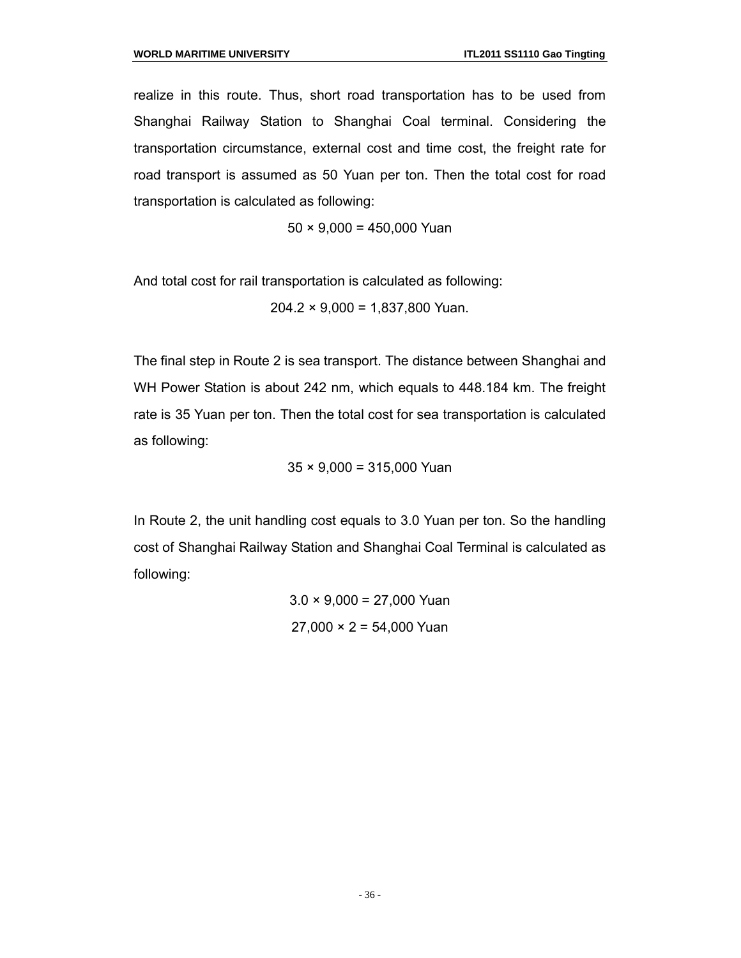realize in this route. Thus, short road transportation has to be used from Shanghai Railway Station to Shanghai Coal terminal. Considering the transportation circumstance, external cost and time cost, the freight rate for road transport is assumed as 50 Yuan per ton. Then the total cost for road transportation is calculated as following:

 $50 \times 9,000 = 450,000$  Yuan

And total cost for rail transportation is calculated as following:

 $204.2 \times 9,000 = 1,837,800$  Yuan.

The final step in Route 2 is sea transport. The distance between Shanghai and WH Power Station is about 242 nm, which equals to 448.184 km. The freight rate is 35 Yuan per ton. Then the total cost for sea transportation is calculated as following:

 $35 \times 9,000 = 315,000$  Yuan

In Route 2, the unit handling cost equals to 3.0 Yuan per ton. So the handling cost of Shanghai Railway Station and Shanghai Coal Terminal is calculated as following:

> $3.0 \times 9,000 = 27,000$  Yuan  $27,000 \times 2 = 54,000$  Yuan

> > - 36 -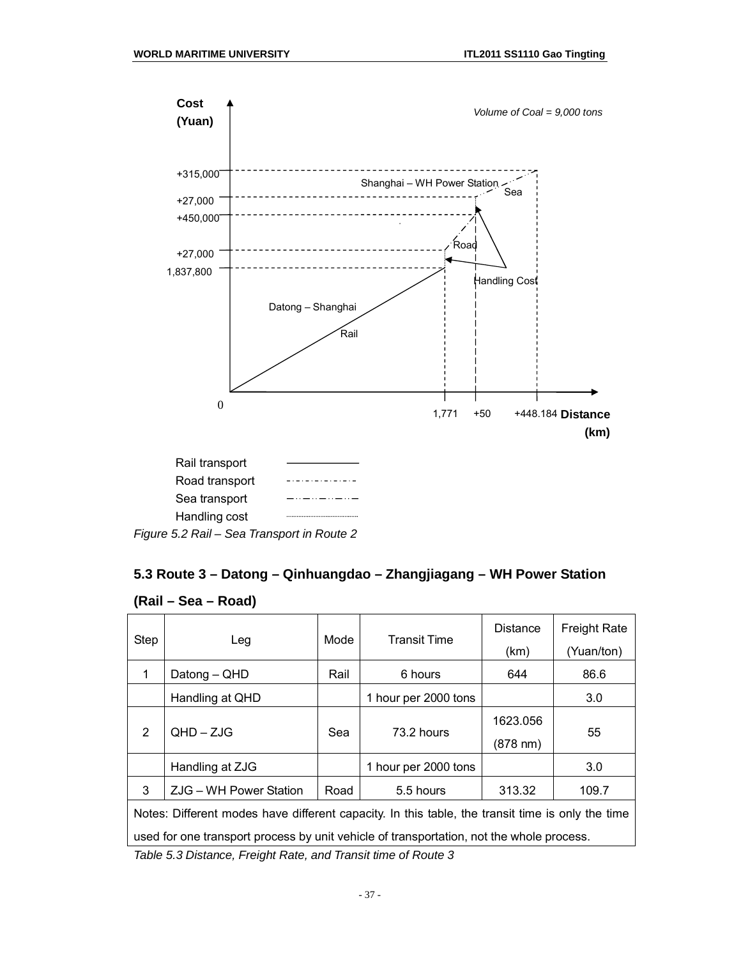

### **5.3 Route 3 – Datong – Qinhuangdao – Zhangjiagang – WH Power Station**

| (Rail – Sea – Road) |  |
|---------------------|--|
|---------------------|--|

| <b>Step</b>                                                                                      | Leg                    | Mode | <b>Transit Time</b>  | <b>Distance</b><br>(km)        | <b>Freight Rate</b><br>(Yuan/ton) |
|--------------------------------------------------------------------------------------------------|------------------------|------|----------------------|--------------------------------|-----------------------------------|
| 1                                                                                                | Datong - QHD           | Rail | 6 hours              | 644                            | 86.6                              |
|                                                                                                  | Handling at QHD        |      | 1 hour per 2000 tons |                                | 3.0                               |
| $\overline{2}$                                                                                   | $QHD - ZJG$            | Sea  | 73.2 hours           | 1623.056<br>$(878 \text{ nm})$ | 55                                |
|                                                                                                  | Handling at ZJG        |      | 1 hour per 2000 tons |                                | 3.0                               |
| 3                                                                                                | ZJG - WH Power Station | Road | 5.5 hours            | 313.32                         | 109.7                             |
| Notes: Different modes have different capacity. In this table, the transit time is only the time |                        |      |                      |                                |                                   |
| used for one transport process by unit vehicle of transportation, not the whole process.         |                        |      |                      |                                |                                   |
| Toble 5.3 Distance Ereight Date and Trappit time of Doute 3                                      |                        |      |                      |                                |                                   |

*Table 5.3 Distance, Freight Rate, and Transit time of Route 3*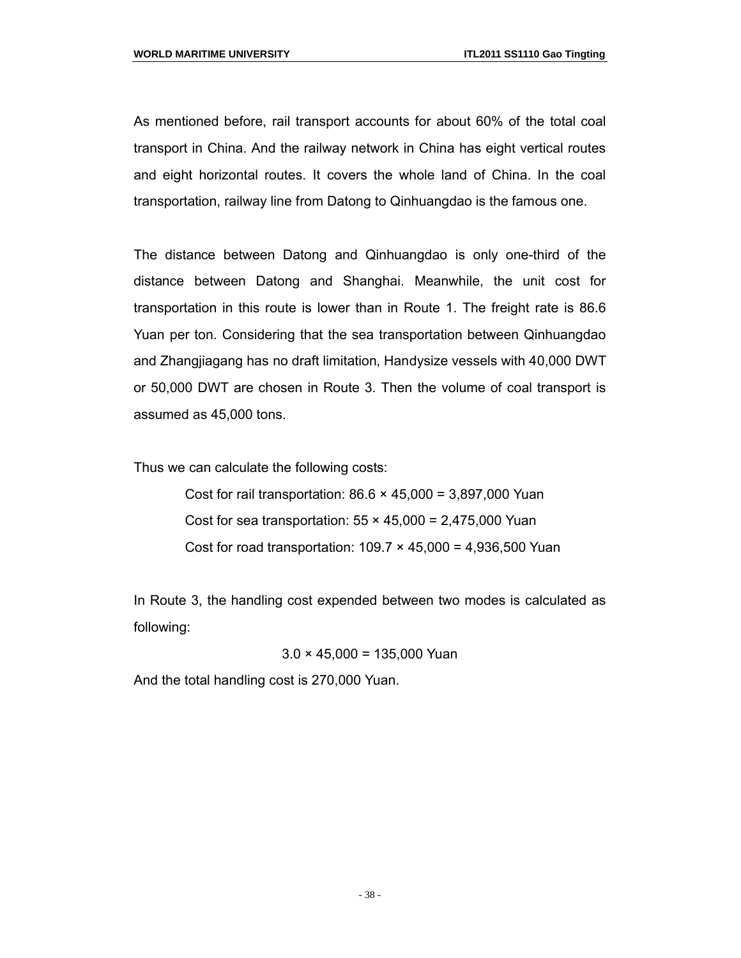As mentioned before, rail transport accounts for about 60% of the total coal transport in China. And the railway network in China has eight vertical routes and eight horizontal routes. It covers the whole land of China. In the coal transportation, railway line from Datong to Qinhuangdao is the famous one.

The distance between Datong and Qinhuangdao is only one-third of the distance between Datong and Shanghai. Meanwhile, the unit cost for transportation in this route is lower than in Route 1. The freight rate is 86.6 Yuan per ton. Considering that the sea transportation between Qinhuangdao and Zhangjiagang has no draft limitation, Handysize vessels with 40,000 DWT or 50,000 DWT are chosen in Route 3. Then the volume of coal transport is assumed as 45,000 tons.

Thus we can calculate the following costs:

Cost for rail transportation:  $86.6 \times 45,000 = 3,897,000$  Yuan Cost for sea transportation:  $55 \times 45,000 = 2,475,000$  Yuan Cost for road transportation:  $109.7 \times 45,000 = 4,936,500$  Yuan

In Route 3, the handling cost expended between two modes is calculated as following:

 $3.0 \times 45,000 = 135,000$  Yuan

And the total handling cost is 270,000 Yuan.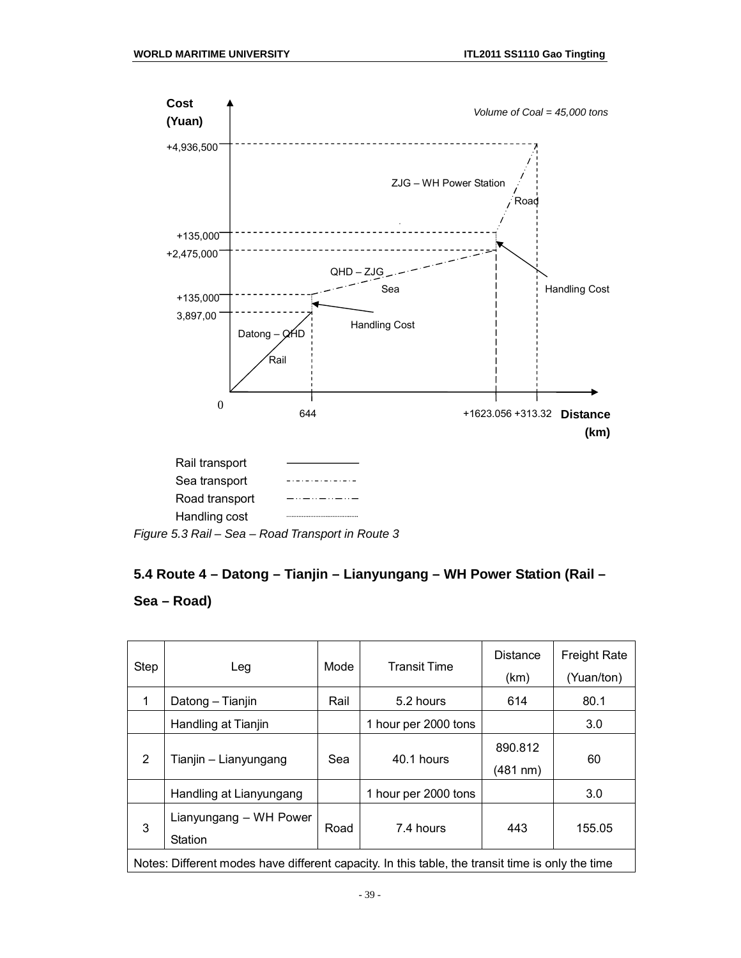

### **5.4 Route 4 – Datong – Tianjin – Lianyungang – WH Power Station (Rail –**

#### **Sea – Road)**

| Step                                                                                             | Leg                               | Mode | <b>Transit Time</b>  | <b>Distance</b><br>(km) | <b>Freight Rate</b><br>(Yuan/ton) |  |  |
|--------------------------------------------------------------------------------------------------|-----------------------------------|------|----------------------|-------------------------|-----------------------------------|--|--|
|                                                                                                  | Datong - Tianjin                  | Rail | 5.2 hours            | 614                     | 80.1                              |  |  |
|                                                                                                  | Handling at Tianjin               |      | 1 hour per 2000 tons |                         | 3.0                               |  |  |
| $\overline{2}$                                                                                   | Tianjin - Lianyungang             | Sea  | 40.1 hours           | 890.812<br>(481 nm)     | 60                                |  |  |
|                                                                                                  | Handling at Lianyungang           |      | 1 hour per 2000 tons |                         | 3.0                               |  |  |
| 3                                                                                                | Lianyungang – WH Power<br>Station | Road | 7.4 hours            | 443                     | 155.05                            |  |  |
| Notes: Different modes have different capacity. In this table, the transit time is only the time |                                   |      |                      |                         |                                   |  |  |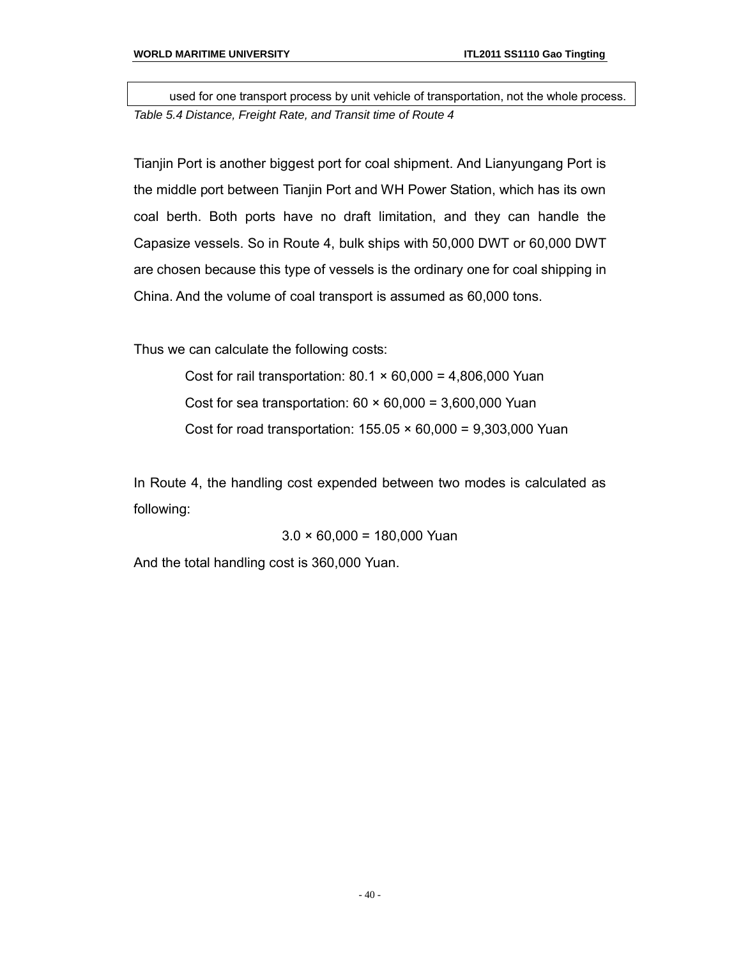used for one transport process by unit vehicle of transportation, not the whole process. *Table 5.4 Distance, Freight Rate, and Transit time of Route 4*

Tianjin Port is another biggest port for coal shipment. And Lianyungang Port is the middle port between Tianjin Port and WH Power Station, which has its own coal berth. Both ports have no draft limitation, and they can handle the Capasize vessels. So in Route 4, bulk ships with 50,000 DWT or 60,000 DWT are chosen because this type of vessels is the ordinary one for coal shipping in China. And the volume of coal transport is assumed as 60,000 tons.

Thus we can calculate the following costs:

Cost for rail transportation:  $80.1 \times 60,000 = 4,806,000$  Yuan Cost for sea transportation:  $60 \times 60,000 = 3,600,000$  Yuan Cost for road transportation:  $155.05 \times 60,000 = 9,303,000$  Yuan

In Route 4, the handling cost expended between two modes is calculated as following:

 $3.0 \times 60,000 = 180,000$  Yuan

And the total handling cost is 360,000 Yuan.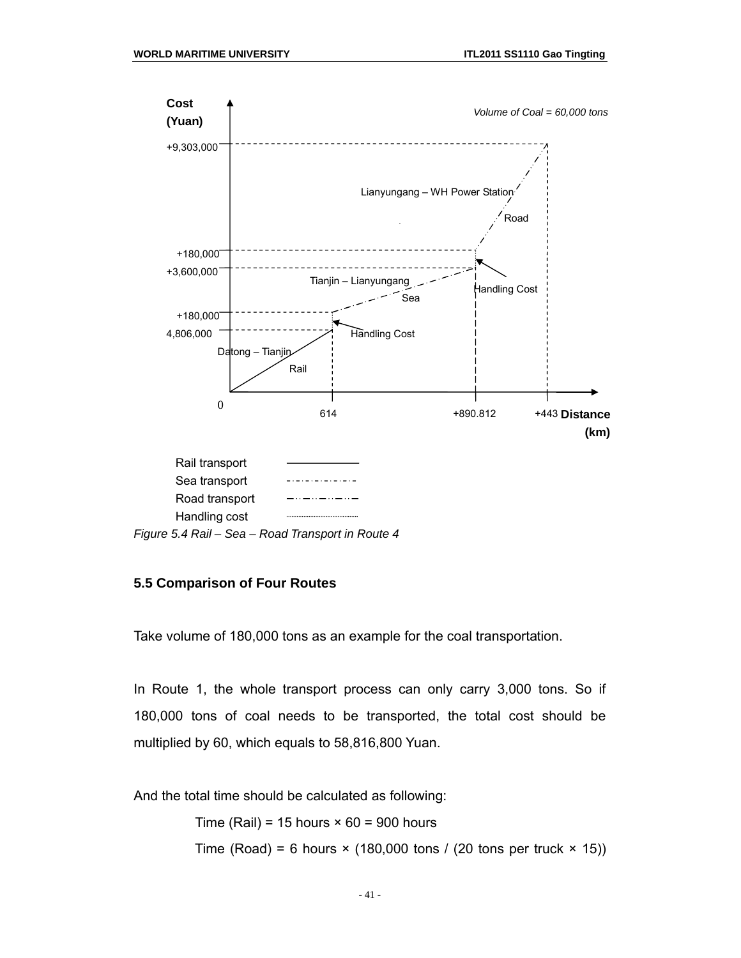

*Figure 5.4 Rail – Sea – Road Transport in Route 4*

#### **5.5 Comparison of Four Routes**

Take volume of 180,000 tons as an example for the coal transportation.

In Route 1, the whole transport process can only carry 3,000 tons. So if 180,000 tons of coal needs to be transported, the total cost should be multiplied by 60, which equals to 58,816,800 Yuan.

And the total time should be calculated as following:

Time (Rail) = 15 hours  $\times$  60 = 900 hours Time (Road) = 6 hours  $\times$  (180,000 tons / (20 tons per truck  $\times$  15))

- 41 -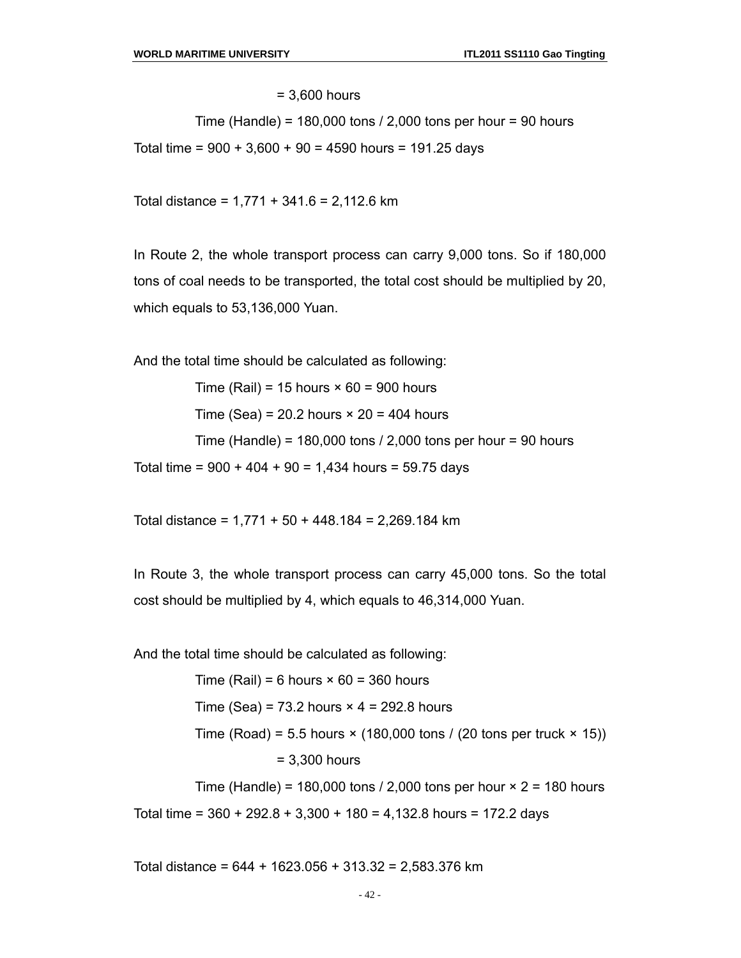= 3,600 hours

Time (Handle) =  $180,000$  tons  $/$  2,000 tons per hour = 90 hours

Total time =  $900 + 3{,}600 + 90 = 4590$  hours = 191.25 days

Total distance = 1,771 + 341.6 = 2,112.6 km

In Route 2, the whole transport process can carry 9,000 tons. So if 180,000 tons of coal needs to be transported, the total cost should be multiplied by 20, which equals to 53,136,000 Yuan.

And the total time should be calculated as following:

Time (Rail) = 15 hours  $\times$  60 = 900 hours

Time (Sea) =  $20.2$  hours  $\times$   $20 = 404$  hours

Time (Handle) = 180,000 tons / 2,000 tons per hour = 90 hours

Total time =  $900 + 404 + 90 = 1,434$  hours = 59.75 days

Total distance = 1,771 + 50 + 448.184 = 2,269.184 km

In Route 3, the whole transport process can carry 45,000 tons. So the total cost should be multiplied by 4, which equals to 46,314,000 Yuan.

And the total time should be calculated as following:

Time (Rail) = 6 hours  $\times$  60 = 360 hours Time (Sea) =  $73.2$  hours  $\times$  4 = 292.8 hours Time (Road) = 5.5 hours  $\times$  (180,000 tons / (20 tons per truck  $\times$  15)) = 3,300 hours Time (Handle) = 180,000 tons  $/$  2,000 tons per hour  $\times$  2 = 180 hours Total time =  $360 + 292.8 + 3,300 + 180 = 4,132.8$  hours = 172.2 days

Total distance = 644 + 1623.056 + 313.32 = 2,583.376 km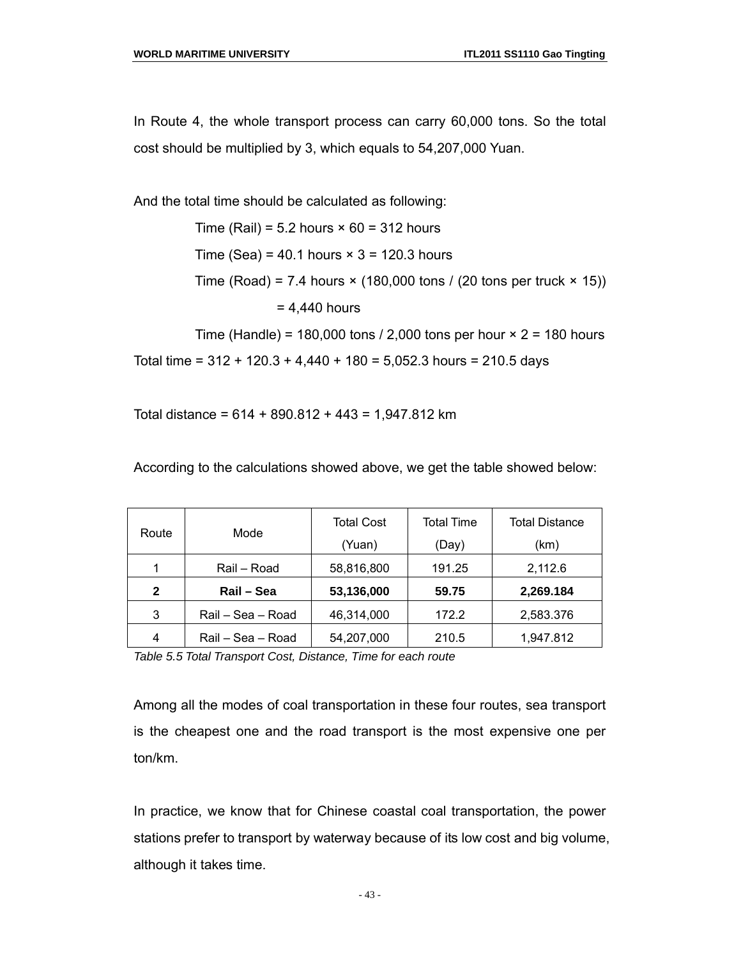In Route 4, the whole transport process can carry 60,000 tons. So the total cost should be multiplied by 3, which equals to 54,207,000 Yuan.

And the total time should be calculated as following:

Time (Rail) =  $5.2$  hours  $\times$  60 = 312 hours Time (Sea) =  $40.1$  hours  $\times$  3 = 120.3 hours Time (Road) = 7.4 hours  $\times$  (180,000 tons / (20 tons per truck  $\times$  15))  $= 4.440$  hours

Time (Handle) = 180,000 tons  $/$  2,000 tons per hour  $\times$  2 = 180 hours

Total time =  $312 + 120.3 + 4.440 + 180 = 5.052.3$  hours = 210.5 days

Total distance = 614 + 890.812 + 443 = 1,947.812 km

According to the calculations showed above, we get the table showed below:

|              |                   | <b>Total Cost</b> | Total Time | <b>Total Distance</b> |
|--------------|-------------------|-------------------|------------|-----------------------|
| Route        | Mode              | (Yuan)            | (Day)      | (km)                  |
| 1            | Rail – Road       | 58,816,800        | 191.25     | 2,112.6               |
| $\mathbf{2}$ | Rail - Sea        | 53,136,000        | 59.75      | 2,269.184             |
| 3            | Rail - Sea - Road | 46,314,000        | 172.2      | 2,583.376             |
| 4            | Rail – Sea – Road | 54,207,000        | 210.5      | 1,947.812             |

*Table 5.5 Total Transport Cost, Distance, Time for each route*

Among all the modes of coal transportation in these four routes, sea transport is the cheapest one and the road transport is the most expensive one per ton/km.

In practice, we know that for Chinese coastal coal transportation, the power stations prefer to transport by waterway because of its low cost and big volume, although it takes time.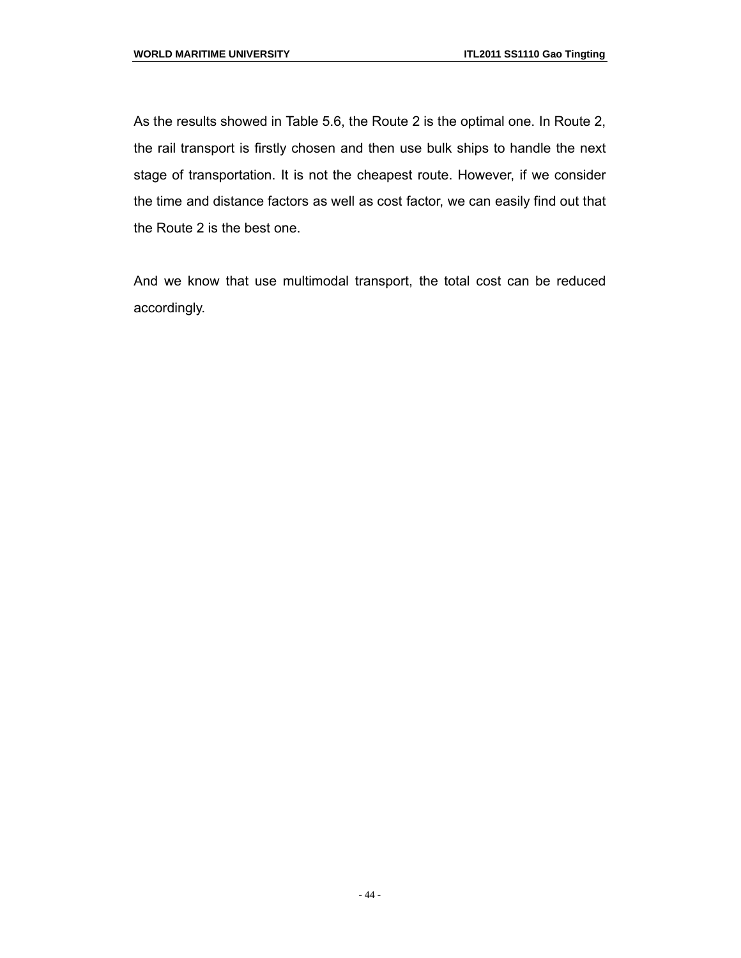As the results showed in Table 5.6, the Route 2 is the optimal one. In Route 2, the rail transport is firstly chosen and then use bulk ships to handle the next stage of transportation. It is not the cheapest route. However, if we consider the time and distance factors as well as cost factor, we can easily find out that the Route 2 is the best one.

And we know that use multimodal transport, the total cost can be reduced accordingly.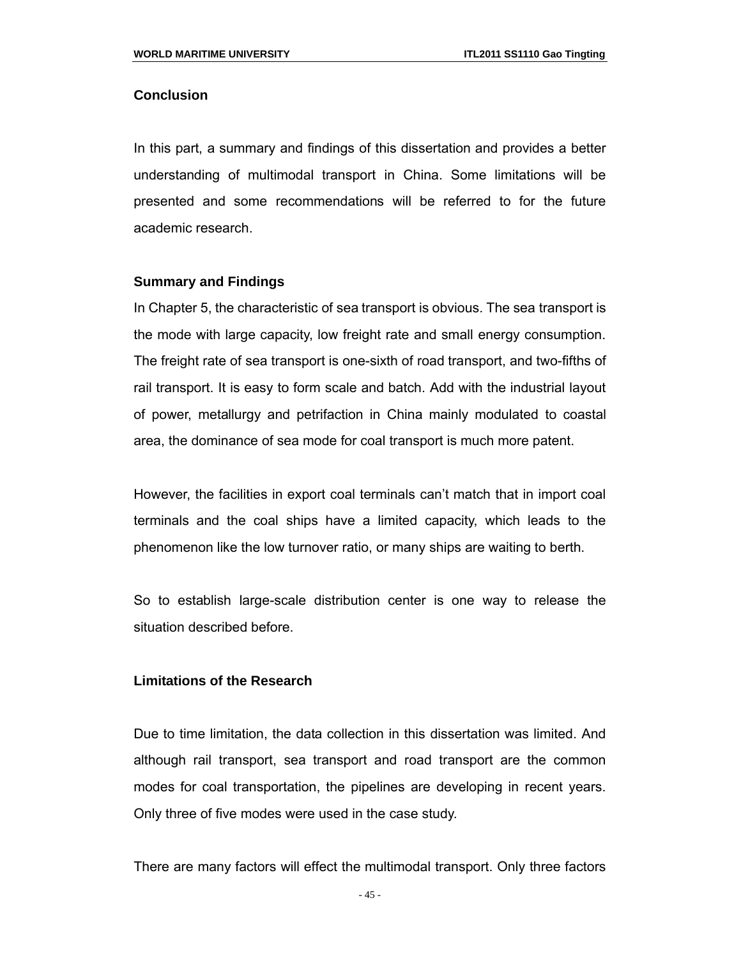#### **Conclusion**

In this part, a summary and findings of this dissertation and provides a better understanding of multimodal transport in China. Some limitations will be presented and some recommendations will be referred to for the future academic research.

#### **Summary and Findings**

In Chapter 5, the characteristic of sea transport is obvious. The sea transport is the mode with large capacity, low freight rate and small energy consumption. The freight rate of sea transport is one-sixth of road transport, and two-fifths of rail transport. It is easy to form scale and batch. Add with the industrial layout of power, metallurgy and petrifaction in China mainly modulated to coastal area, the dominance of sea mode for coal transport is much more patent.

However, the facilities in export coal terminals can't match that in import coal terminals and the coal ships have a limited capacity, which leads to the phenomenon like the low turnover ratio, or many ships are waiting to berth.

So to establish large-scale distribution center is one way to release the situation described before.

#### **Limitations of the Research**

Due to time limitation, the data collection in this dissertation was limited. And although rail transport, sea transport and road transport are the common modes for coal transportation, the pipelines are developing in recent years. Only three of five modes were used in the case study.

There are many factors will effect the multimodal transport. Only three factors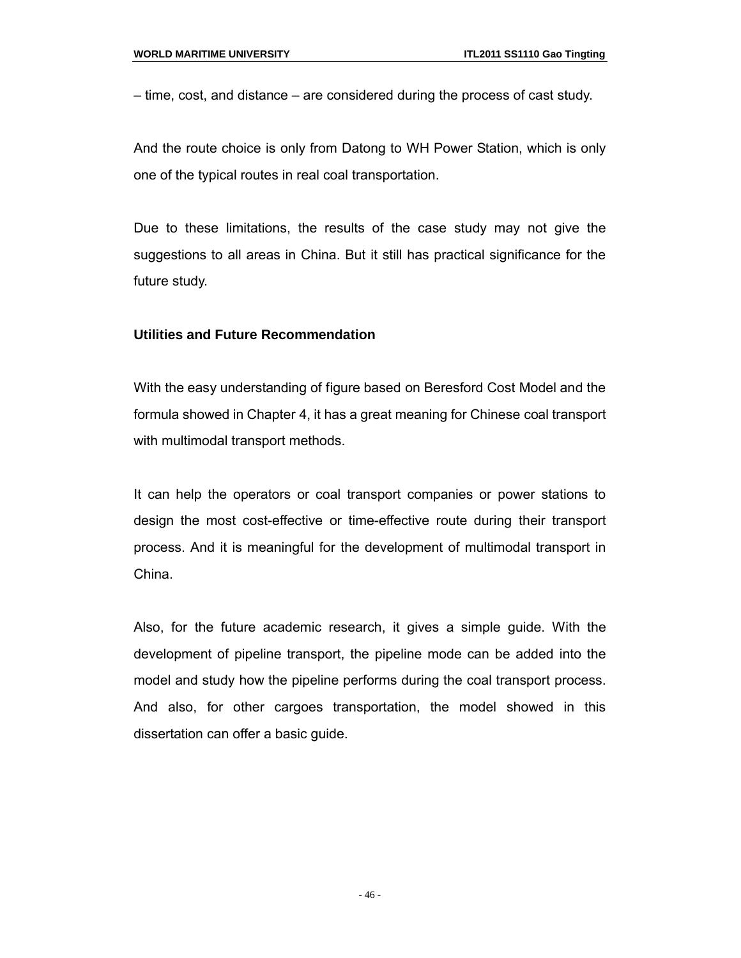– time, cost, and distance – are considered during the process of cast study.

And the route choice is only from Datong to WH Power Station, which is only one of the typical routes in real coal transportation.

Due to these limitations, the results of the case study may not give the suggestions to all areas in China. But it still has practical significance for the future study.

#### **Utilities and Future Recommendation**

With the easy understanding of figure based on Beresford Cost Model and the formula showed in Chapter 4, it has a great meaning for Chinese coal transport with multimodal transport methods.

It can help the operators or coal transport companies or power stations to design the most cost-effective or time-effective route during their transport process. And it is meaningful for the development of multimodal transport in China.

Also, for the future academic research, it gives a simple guide. With the development of pipeline transport, the pipeline mode can be added into the model and study how the pipeline performs during the coal transport process. And also, for other cargoes transportation, the model showed in this dissertation can offer a basic guide.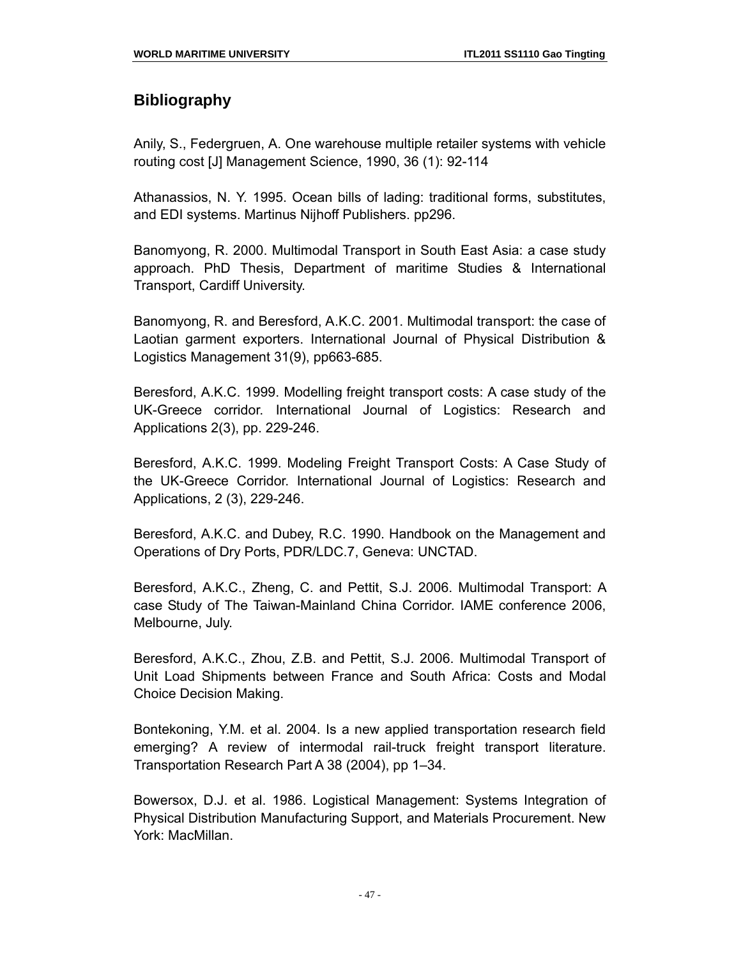### **Bibliography**

Anily, S., Federgruen, A. One warehouse multiple retailer systems with vehicle routing cost [J] Management Science, 1990, 36 (1): 92-114

Athanassios, N. Y. 1995. Ocean bills of lading: traditional forms, substitutes, and EDI systems. Martinus Nijhoff Publishers. pp296.

Banomyong, R. 2000. Multimodal Transport in South East Asia: a case study approach. PhD Thesis, Department of maritime Studies & International Transport, Cardiff University.

Banomyong, R. and Beresford, A.K.C. 2001. Multimodal transport: the case of Laotian garment exporters. International Journal of Physical Distribution & Logistics Management 31(9), pp663-685.

Beresford, A.K.C. 1999. Modelling freight transport costs: A case study of the UK-Greece corridor. International Journal of Logistics: Research and Applications 2(3), pp. 229-246.

Beresford, A.K.C. 1999. Modeling Freight Transport Costs: A Case Study of the UK-Greece Corridor. International Journal of Logistics: Research and Applications, 2 (3), 229-246.

Beresford, A.K.C. and Dubey, R.C. 1990. Handbook on the Management and Operations of Dry Ports, PDR/LDC.7, Geneva: UNCTAD.

Beresford, A.K.C., Zheng, C. and Pettit, S.J. 2006. Multimodal Transport: A case Study of The Taiwan-Mainland China Corridor. IAME conference 2006, Melbourne, July.

Beresford, A.K.C., Zhou, Z.B. and Pettit, S.J. 2006. Multimodal Transport of Unit Load Shipments between France and South Africa: Costs and Modal Choice Decision Making.

Bontekoning, Y.M. et al. 2004. Is a new applied transportation research field emerging? A review of intermodal rail-truck freight transport literature. Transportation Research Part A 38 (2004), pp 1–34.

Bowersox, D.J. et al. 1986. Logistical Management: Systems Integration of Physical Distribution Manufacturing Support, and Materials Procurement. New York: MacMillan.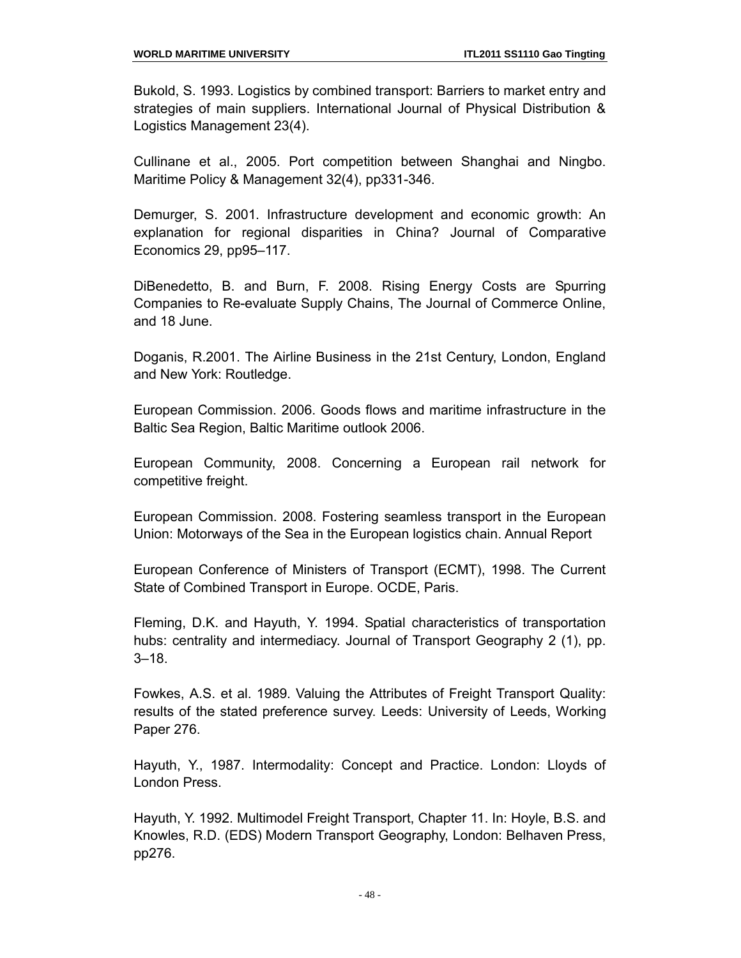Bukold, S. 1993. Logistics by combined transport: Barriers to market entry and strategies of main suppliers. International Journal of Physical Distribution & Logistics Management 23(4).

Cullinane et al., 2005. Port competition between Shanghai and Ningbo. Maritime Policy & Management 32(4), pp331-346.

Demurger, S. 2001. Infrastructure development and economic growth: An explanation for regional disparities in China? Journal of Comparative Economics 29, pp95–117.

DiBenedetto, B. and Burn, F. 2008. Rising Energy Costs are Spurring Companies to Re-evaluate Supply Chains, The Journal of Commerce Online, and 18 June.

Doganis, R.2001. The Airline Business in the 21st Century, London, England and New York: Routledge.

European Commission. 2006. Goods flows and maritime infrastructure in the Baltic Sea Region, Baltic Maritime outlook 2006.

European Community, 2008. Concerning a European rail network for competitive freight.

European Commission. 2008. Fostering seamless transport in the European Union: Motorways of the Sea in the European logistics chain. Annual Report

European Conference of Ministers of Transport (ECMT), 1998. The Current State of Combined Transport in Europe. OCDE, Paris.

Fleming, D.K. and Hayuth, Y. 1994. Spatial characteristics of transportation hubs: centrality and intermediacy. Journal of Transport Geography 2 (1), pp. 3–18.

Fowkes, A.S. et al. 1989. Valuing the Attributes of Freight Transport Quality: results of the stated preference survey. Leeds: University of Leeds, Working Paper 276.

Hayuth, Y., 1987. Intermodality: Concept and Practice. London: Lloyds of London Press.

Hayuth, Y. 1992. Multimodel Freight Transport, Chapter 11. In: Hoyle, B.S. and Knowles, R.D. (EDS) Modern Transport Geography, London: Belhaven Press, pp276.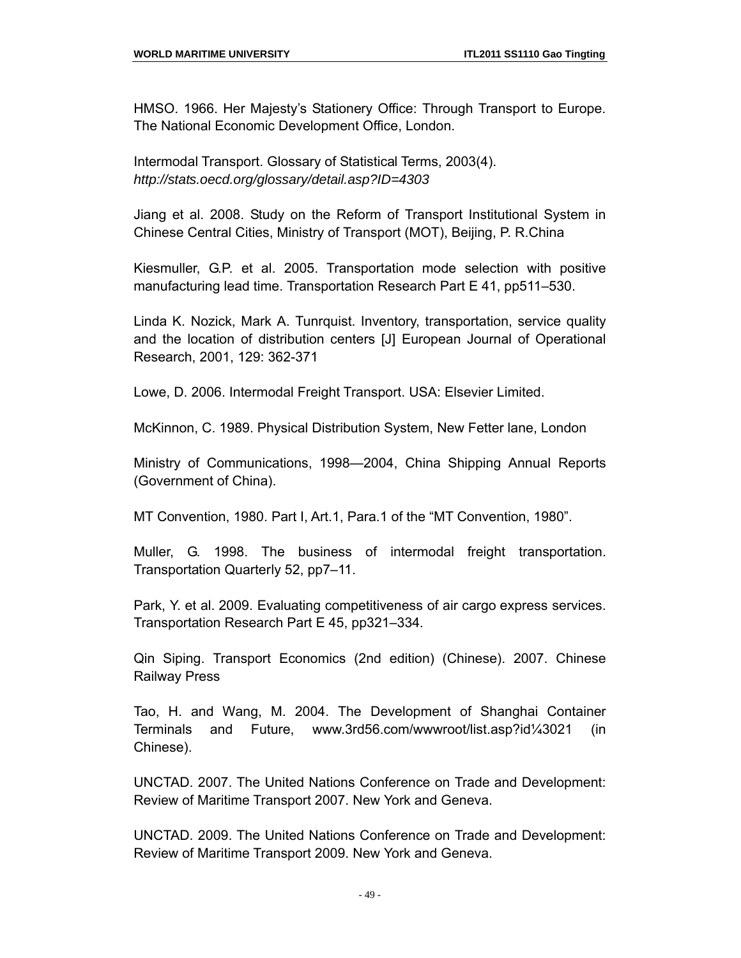HMSO. 1966. Her Majesty's Stationery Office: Through Transport to Europe. The National Economic Development Office, London.

Intermodal Transport. Glossary of Statistical Terms, 2003(4). *http://stats.oecd.org/glossary/detail.asp?ID=4303*

Jiang et al. 2008. Study on the Reform of Transport Institutional System in Chinese Central Cities, Ministry of Transport (MOT), Beijing, P. R.China

Kiesmuller, G.P. et al. 2005. Transportation mode selection with positive manufacturing lead time. Transportation Research Part E 41, pp511–530.

Linda K. Nozick, Mark A. Tunrquist. Inventory, transportation, service quality and the location of distribution centers [J] European Journal of Operational Research, 2001, 129: 362-371

Lowe, D. 2006. Intermodal Freight Transport. USA: Elsevier Limited.

McKinnon, C. 1989. Physical Distribution System, New Fetter lane, London

Ministry of Communications, 1998—2004, China Shipping Annual Reports (Government of China).

MT Convention, 1980. Part I, Art.1, Para.1 of the "MT Convention, 1980".

Muller, G. 1998. The business of intermodal freight transportation. Transportation Quarterly 52, pp7–11.

Park, Y. et al. 2009. Evaluating competitiveness of air cargo express services. Transportation Research Part E 45, pp321–334.

Qin Siping. Transport Economics (2nd edition) (Chinese). 2007. Chinese Railway Press

Tao, H. and Wang, M. 2004. The Development of Shanghai Container Terminals and Future, www.3rd56.com/wwwroot/list.asp?id¼3021 (in Chinese).

UNCTAD. 2007. The United Nations Conference on Trade and Development: Review of Maritime Transport 2007. New York and Geneva.

UNCTAD. 2009. The United Nations Conference on Trade and Development: Review of Maritime Transport 2009. New York and Geneva.